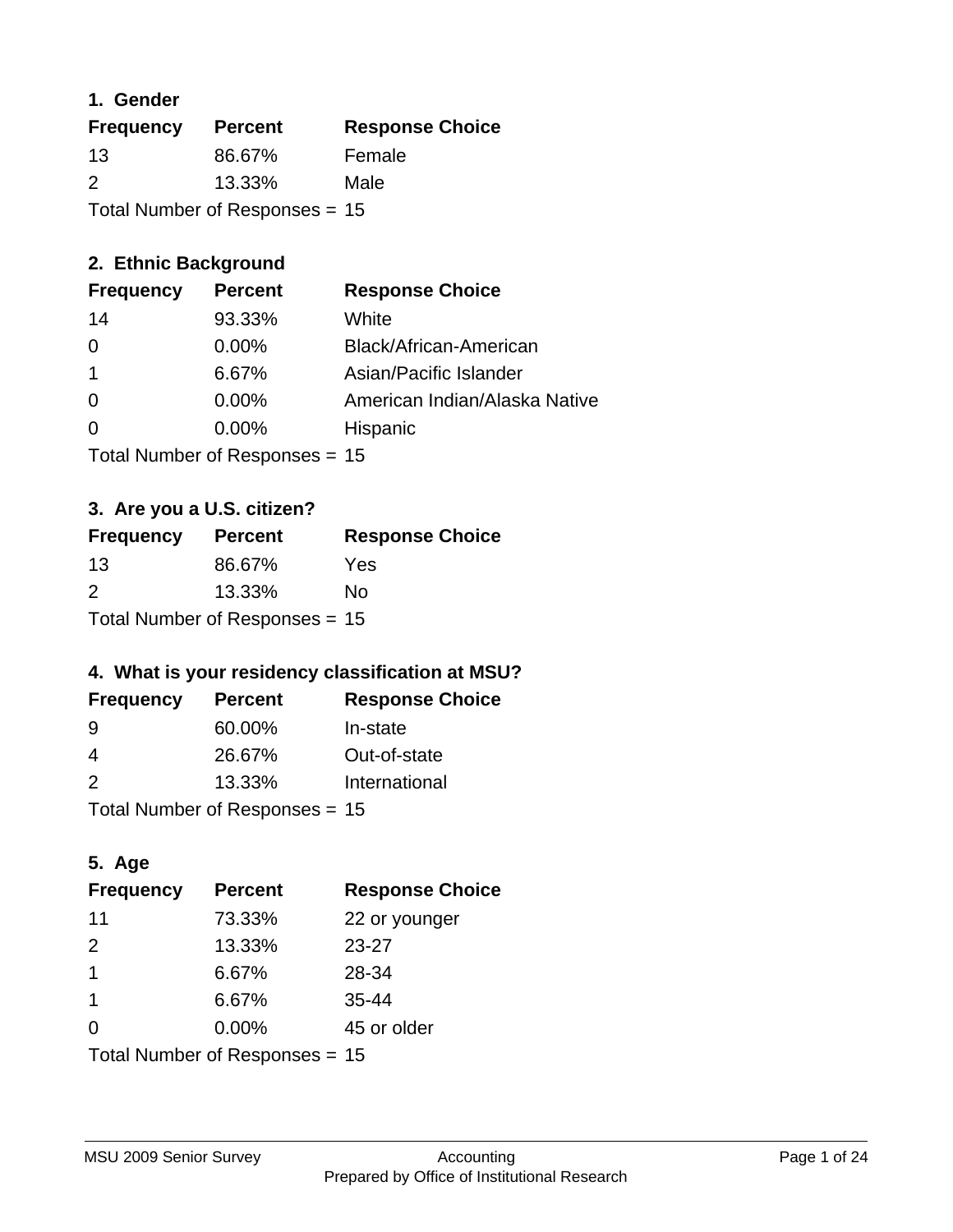## **1. Gender**

| <b>Frequency</b>                 | <b>Percent</b> | <b>Response Choice</b> |
|----------------------------------|----------------|------------------------|
| 13                               | 86.67%         | Female                 |
| $\mathcal{P}$                    | 13.33%         | Male                   |
| Total Number of Responses $= 15$ |                |                        |

## **2. Ethnic Background**

| <b>Frequency</b> | <b>Percent</b> | <b>Response Choice</b>        |
|------------------|----------------|-------------------------------|
| 14               | 93.33%         | White                         |
| 0                | $0.00\%$       | Black/African-American        |
|                  | 6.67%          | Asian/Pacific Islander        |
| $\Omega$         | $0.00\%$       | American Indian/Alaska Native |
|                  | 0.00%          | Hispanic                      |
|                  |                |                               |

Total Number of Responses = 15

## **3. Are you a U.S. citizen?**

| <b>Frequency</b>                 | <b>Percent</b> | <b>Response Choice</b> |
|----------------------------------|----------------|------------------------|
| -13                              | 86.67%         | Yes                    |
| $\mathcal{P}$                    | 13.33%         | Nο                     |
| Total Number of Responses = $15$ |                |                        |

## **4. What is your residency classification at MSU?**

| <b>Frequency</b> | <b>Percent</b> | <b>Response Choice</b> |
|------------------|----------------|------------------------|
| -9               | 60.00%         | In-state               |
| 4                | 26.67%         | Out-of-state           |
| $\mathcal{P}$    | 13.33%         | International          |
|                  |                |                        |

Total Number of Responses = 15

## **5. Age**

| <b>Frequency</b>               | <b>Percent</b> | <b>Response Choice</b> |
|--------------------------------|----------------|------------------------|
| 11                             | 73.33%         | 22 or younger          |
| 2                              | 13.33%         | $23 - 27$              |
| $\overline{1}$                 | 6.67%          | 28-34                  |
| 1                              | 6.67%          | $35 - 44$              |
| 0                              | 0.00%          | 45 or older            |
| Total Number of Responses = 15 |                |                        |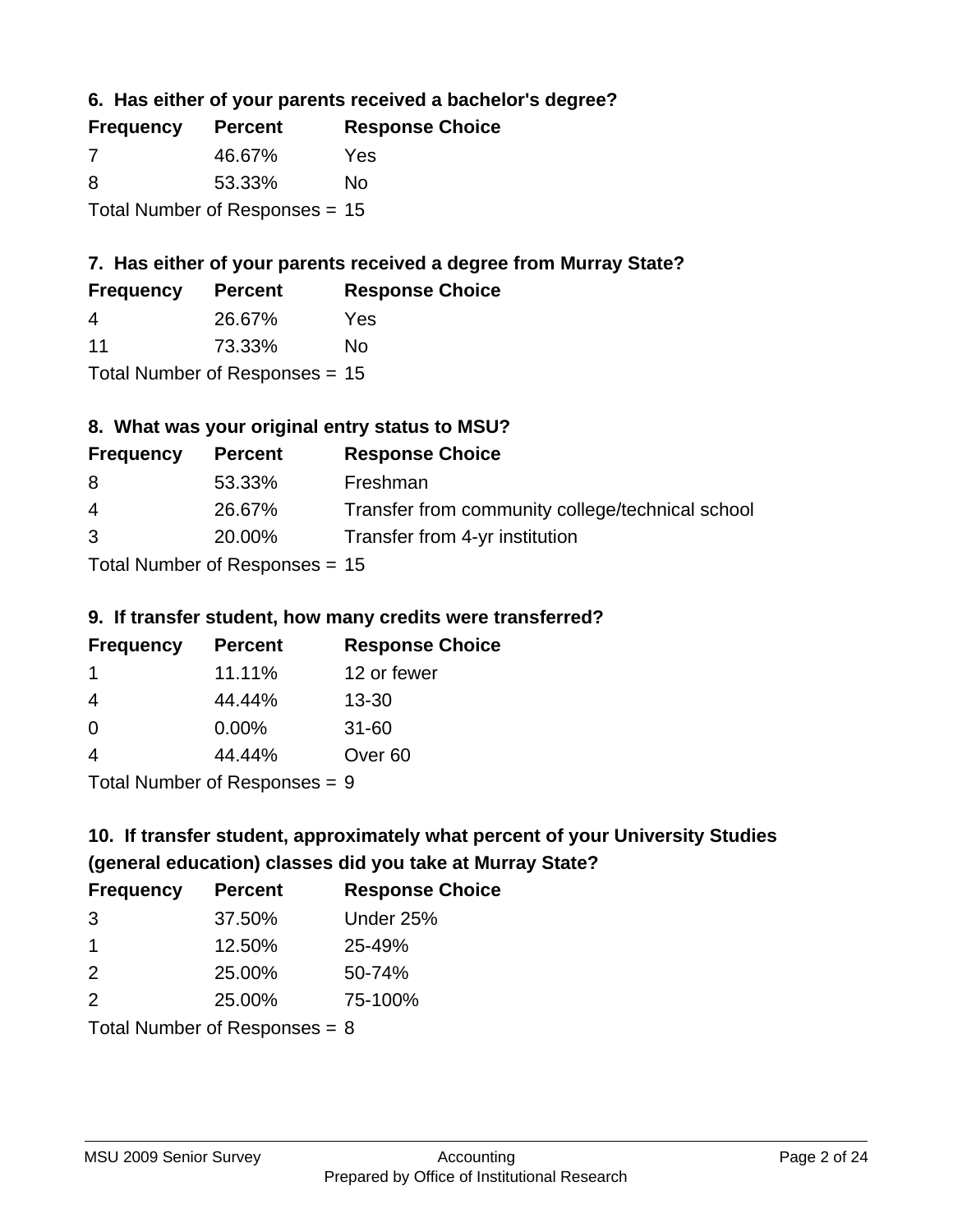**6. Has either of your parents received a bachelor's degree?**

| <b>Frequency</b>                 | <b>Percent</b> | <b>Response Choice</b> |
|----------------------------------|----------------|------------------------|
| 7                                | 46.67%         | Yes                    |
| 8                                | 53.33%         | No                     |
| Total Number of Responses $= 15$ |                |                        |

## **7. Has either of your parents received a degree from Murray State?**

| <b>Frequency</b> | <b>Percent</b> | <b>Response Choice</b> |
|------------------|----------------|------------------------|
| 4                | 26.67%         | Yes                    |
| 11               | 73.33%         | No                     |

Total Number of Responses = 15

## **8. What was your original entry status to MSU?**

| <b>Frequency</b> | <b>Percent</b>            | <b>Response Choice</b>                           |
|------------------|---------------------------|--------------------------------------------------|
| 8                | 53.33%                    | Freshman                                         |
| $\overline{4}$   | 26.67%                    | Transfer from community college/technical school |
| 3                | 20.00%                    | Transfer from 4-yr institution                   |
|                  | Total Number of Despenses |                                                  |

Total Number of Responses = 15

### **9. If transfer student, how many credits were transferred?**

| <b>Frequency</b> | <b>Percent</b> | <b>Response Choice</b> |
|------------------|----------------|------------------------|
| -1               | 11.11%         | 12 or fewer            |
| -4               | 44.44%         | $13 - 30$              |
| -0               | 0.00%          | $31 - 60$              |
|                  | 44.44%         | Over <sub>60</sub>     |
|                  |                |                        |

Total Number of Responses = 9

# **10. If transfer student, approximately what percent of your University Studies (general education) classes did you take at Murray State?**

| <b>Frequency</b>                | <b>Percent</b> | <b>Response Choice</b> |
|---------------------------------|----------------|------------------------|
| 3                               | 37.50%         | Under 25%              |
| $\mathbf 1$                     | 12.50%         | 25-49%                 |
| 2                               | 25.00%         | 50-74%                 |
| 2                               | 25.00%         | 75-100%                |
| Total Number of Responses $= 8$ |                |                        |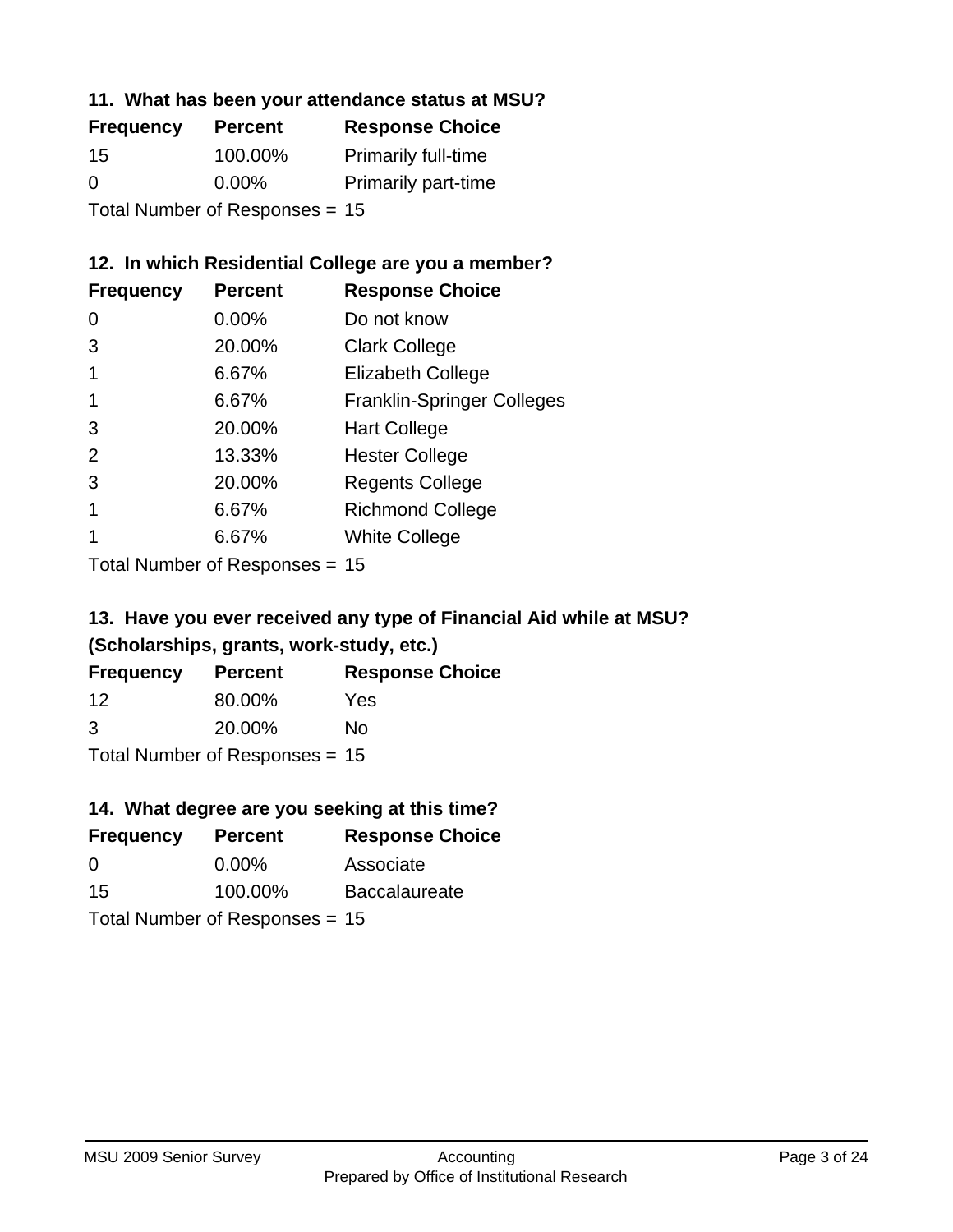#### **11. What has been your attendance status at MSU?**

| <b>Frequency</b>               | <b>Percent</b> | <b>Response Choice</b>     |
|--------------------------------|----------------|----------------------------|
| 15                             | 100.00%        | <b>Primarily full-time</b> |
| 0                              | $0.00\%$       | <b>Primarily part-time</b> |
| Total Number of Responses = 15 |                |                            |

## **12. In which Residential College are you a member?**

| <b>Frequency</b> | <b>Percent</b> | <b>Response Choice</b>            |
|------------------|----------------|-----------------------------------|
| 0                | 0.00%          | Do not know                       |
| 3                | 20.00%         | <b>Clark College</b>              |
| 1                | 6.67%          | <b>Elizabeth College</b>          |
|                  | 6.67%          | <b>Franklin-Springer Colleges</b> |
| 3                | 20.00%         | <b>Hart College</b>               |
| 2                | 13.33%         | <b>Hester College</b>             |
| 3                | 20.00%         | <b>Regents College</b>            |
|                  | 6.67%          | <b>Richmond College</b>           |
|                  | 6.67%          | <b>White College</b>              |
|                  |                |                                   |

Total Number of Responses = 15

## **13. Have you ever received any type of Financial Aid while at MSU? (Scholarships, grants, work-study, etc.)**

| <b>Frequency</b>                 | <b>Percent</b> | <b>Response Choice</b> |
|----------------------------------|----------------|------------------------|
| 12                               | 80.00%         | Yes                    |
| 3                                | 20.00%         | No                     |
| Total Number of Responses = $15$ |                |                        |

## **14. What degree are you seeking at this time?**

| <b>Frequency</b> | <b>Percent</b>                   | <b>Response Choice</b> |
|------------------|----------------------------------|------------------------|
| 0                | $0.00\%$                         | Associate              |
| 15               | 100.00%                          | <b>Baccalaureate</b>   |
|                  | Total Number of Responses $= 15$ |                        |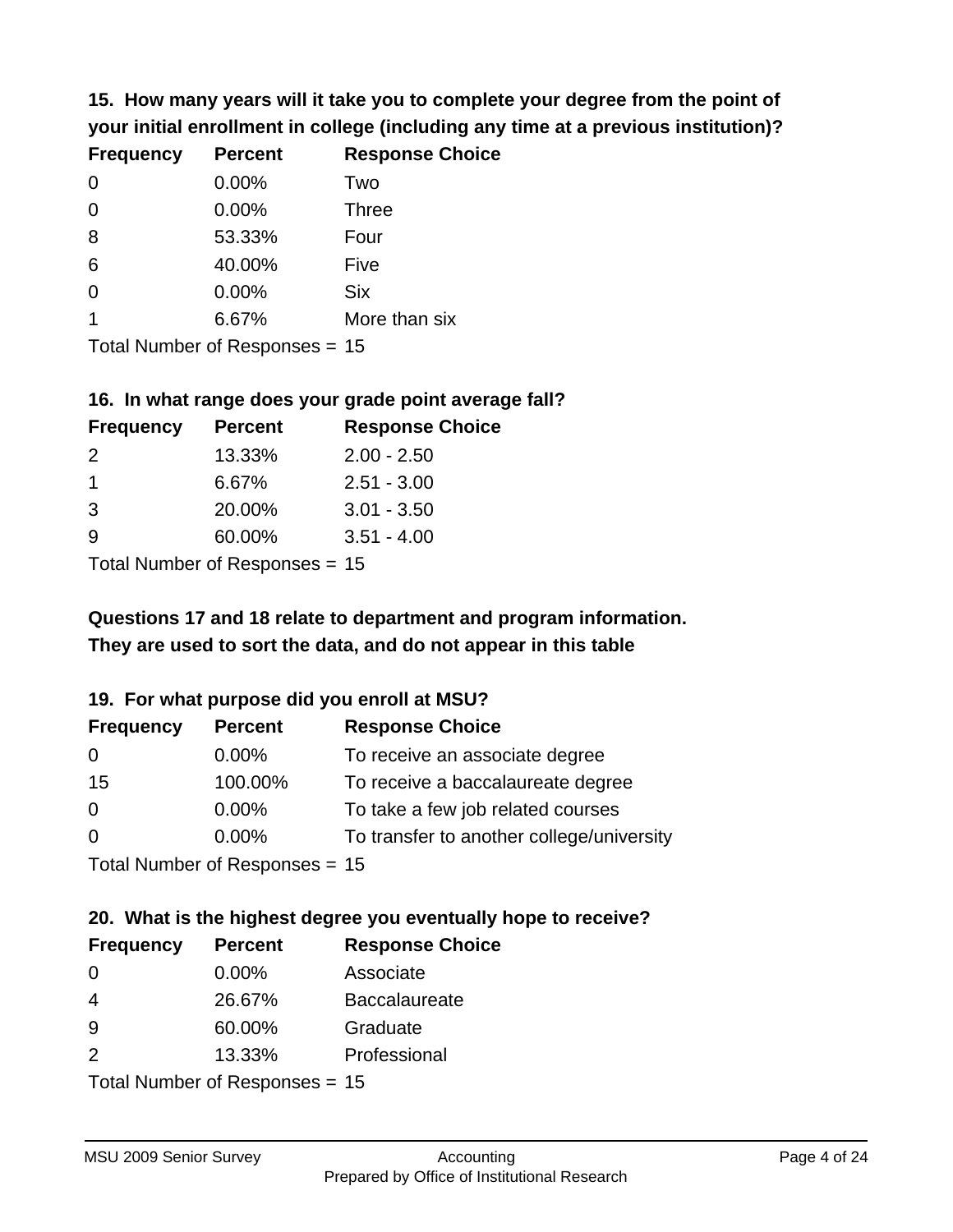**15. How many years will it take you to complete your degree from the point of your initial enrollment in college (including any time at a previous institution)?**

| <b>Frequency</b> | <b>Percent</b> | <b>Response Choice</b> |
|------------------|----------------|------------------------|
| 0                | 0.00%          | Two                    |
| 0                | 0.00%          | <b>Three</b>           |
| 8                | 53.33%         | Four                   |
| 6                | 40.00%         | Five                   |
| 0                | 0.00%          | <b>Six</b>             |
|                  | 6.67%          | More than six          |
|                  |                |                        |

Total Number of Responses = 15

#### **16. In what range does your grade point average fall?**

| <b>Frequency</b> | <b>Percent</b> | <b>Response Choice</b> |
|------------------|----------------|------------------------|
| $\mathcal{P}$    | 13.33%         | $2.00 - 2.50$          |
|                  | 6.67%          | $2.51 - 3.00$          |
| -3               | 20.00%         | $3.01 - 3.50$          |
| 9                | 60.00%         | $3.51 - 4.00$          |
|                  |                |                        |

Total Number of Responses = 15

## **They are used to sort the data, and do not appear in this table Questions 17 and 18 relate to department and program information.**

#### **19. For what purpose did you enroll at MSU?**

| <b>Frequency</b> | <b>Percent</b>                   | <b>Response Choice</b>                    |
|------------------|----------------------------------|-------------------------------------------|
| 0                | $0.00\%$                         | To receive an associate degree            |
| 15               | 100.00%                          | To receive a baccalaureate degree         |
| $\overline{0}$   | $0.00\%$                         | To take a few job related courses         |
| $\Omega$         | 0.00%                            | To transfer to another college/university |
|                  | Total Number of Responses = $15$ |                                           |

# **20. What is the highest degree you eventually hope to receive?**

| <b>Frequency</b> | <b>Percent</b>            | <b>Response Choice</b> |
|------------------|---------------------------|------------------------|
| 0                | $0.00\%$                  | Associate              |
| 4                | 26.67%                    | <b>Baccalaureate</b>   |
| 9                | 60.00%                    | Graduate               |
| 2                | 13.33%                    | Professional           |
|                  | Total Number of Desponses |                        |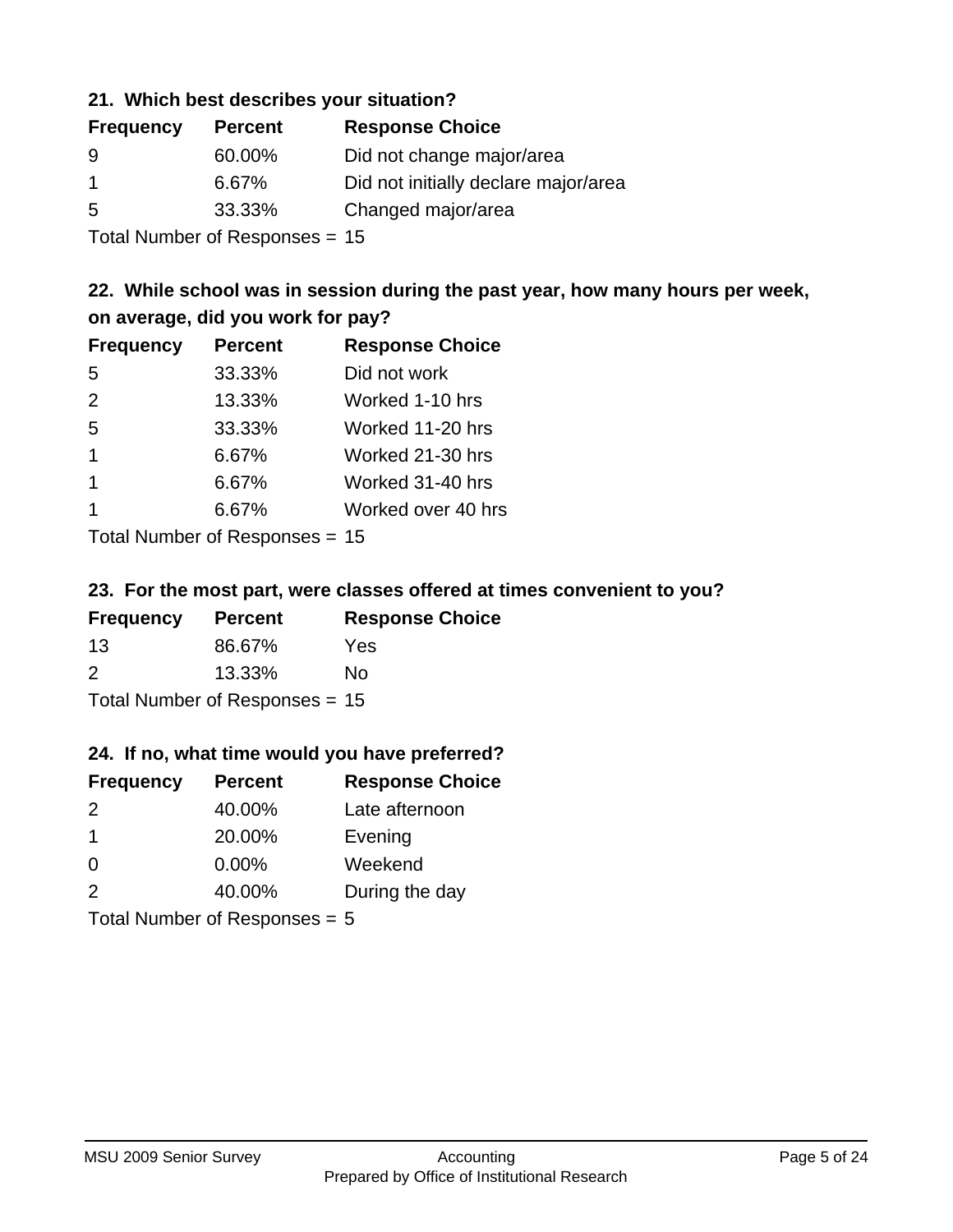#### **21. Which best describes your situation?**

| <b>Frequency</b> | <b>Percent</b> | <b>Response Choice</b>               |
|------------------|----------------|--------------------------------------|
| -9               | 60.00%         | Did not change major/area            |
|                  | 6.67%          | Did not initially declare major/area |
| -5               | 33.33%         | Changed major/area                   |
|                  |                |                                      |

Total Number of Responses = 15

## **22. While school was in session during the past year, how many hours per week, on average, did you work for pay?**

| <b>Frequency</b> | <b>Percent</b> | <b>Response Choice</b> |
|------------------|----------------|------------------------|
| 5                | 33.33%         | Did not work           |
| 2                | 13.33%         | Worked 1-10 hrs        |
| 5                | 33.33%         | Worked 11-20 hrs       |
| $\mathbf 1$      | 6.67%          | Worked 21-30 hrs       |
| $\mathbf 1$      | 6.67%          | Worked 31-40 hrs       |
|                  | 6.67%          | Worked over 40 hrs     |
|                  |                |                        |

Total Number of Responses = 15

#### **23. For the most part, were classes offered at times convenient to you?**

| <b>Frequency</b>                 | <b>Percent</b> | <b>Response Choice</b> |
|----------------------------------|----------------|------------------------|
| -13                              | 86.67%         | Yes                    |
| $\mathcal{P}$                    | 13.33%         | Nο                     |
| Total Number of Responses = $15$ |                |                        |

#### **24. If no, what time would you have preferred?**

| <b>Frequency</b>                | <b>Percent</b> | <b>Response Choice</b> |
|---------------------------------|----------------|------------------------|
| 2                               | 40.00%         | Late afternoon         |
| $\overline{1}$                  | 20.00%         | Evening                |
| 0                               | $0.00\%$       | Weekend                |
| 2                               | 40.00%         | During the day         |
| Total Number of Responses $= 5$ |                |                        |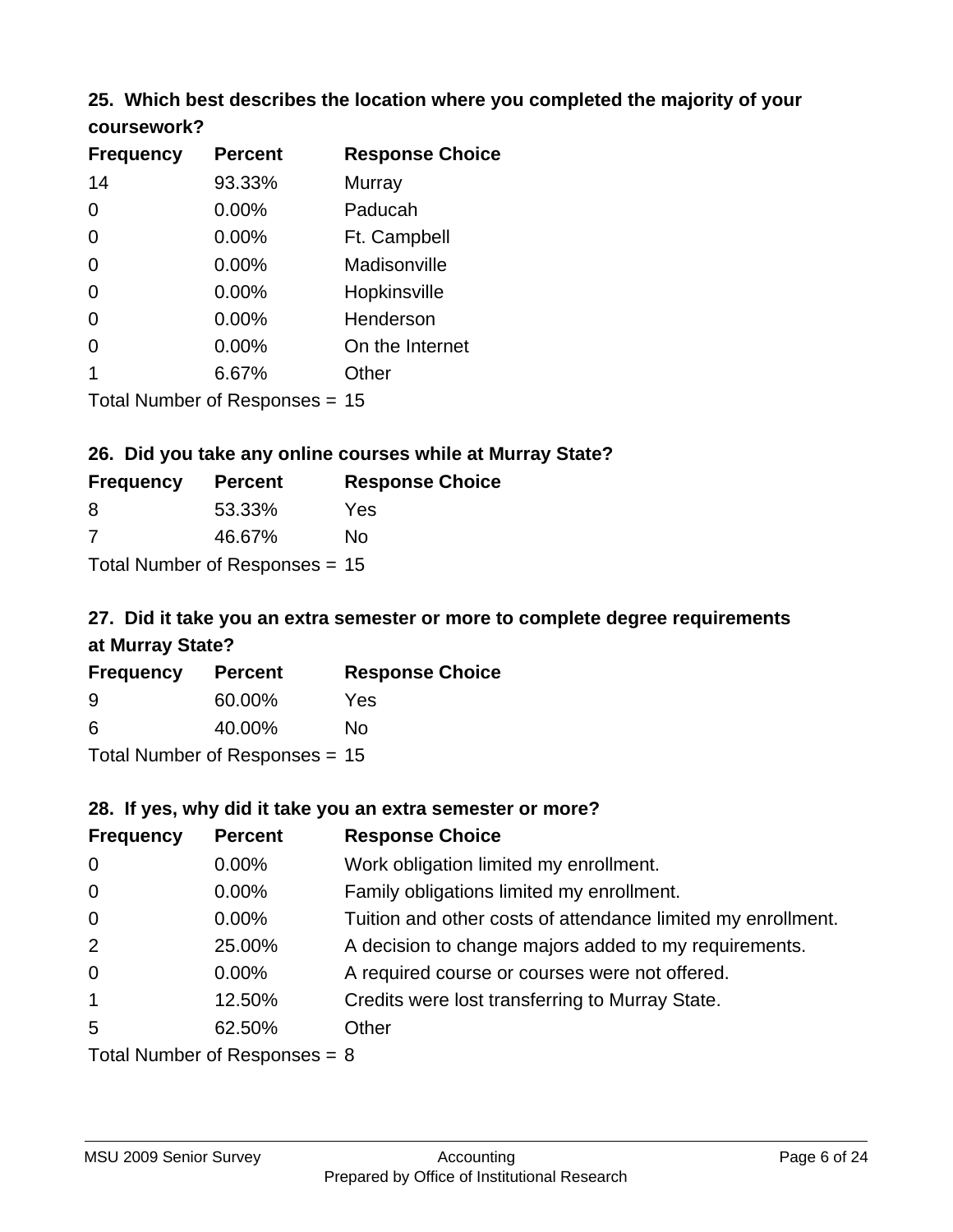# **25. Which best describes the location where you completed the majority of your**

| <b>Frequency</b> | <b>Percent</b>             | <b>Response Choice</b> |
|------------------|----------------------------|------------------------|
| 14               | 93.33%                     | <b>Murray</b>          |
| $\Omega$         | 0.00%                      | Paducah                |
| $\Omega$         | 0.00%                      | Ft. Campbell           |
| $\Omega$         | 0.00%                      | Madisonville           |
| 0                | 0.00%                      | Hopkinsville           |
| 0                | 0.00%                      | Henderson              |
| 0                | 0.00%                      | On the Internet        |
| 1                | 6.67%                      | Other                  |
|                  | Total Number of Deepersoon |                        |

Total Number of Responses = 15

**coursework?**

## **26. Did you take any online courses while at Murray State?**

| <b>Frequency</b> | <b>Percent</b>                   | <b>Response Choice</b> |
|------------------|----------------------------------|------------------------|
| -8               | 53.33%                           | Yes                    |
| -7               | 46.67%                           | Nο                     |
|                  | Total Number of Responses = $15$ |                        |

## **27. Did it take you an extra semester or more to complete degree requirements at Murray State?**

| <b>Frequency</b> | <b>Percent</b>                   | <b>Response Choice</b> |
|------------------|----------------------------------|------------------------|
| 9                | 60.00%                           | Yes                    |
| 6                | 40.00%                           | No                     |
|                  | Total Number of Responses = $15$ |                        |

**28. If yes, why did it take you an extra semester or more?**

| <b>Frequency</b>                | <b>Percent</b> | <b>Response Choice</b>                                       |  |
|---------------------------------|----------------|--------------------------------------------------------------|--|
| $\overline{0}$                  | $0.00\%$       | Work obligation limited my enrollment.                       |  |
| $\overline{0}$                  | $0.00\%$       | Family obligations limited my enrollment.                    |  |
| $\mathbf 0$                     | $0.00\%$       | Tuition and other costs of attendance limited my enrollment. |  |
| 2                               | 25.00%         | A decision to change majors added to my requirements.        |  |
| $\mathbf 0$                     | $0.00\%$       | A required course or courses were not offered.               |  |
| $\overline{1}$                  | 12.50%         | Credits were lost transferring to Murray State.              |  |
| 5                               | 62.50%         | Other                                                        |  |
| Total Number of Responses = $8$ |                |                                                              |  |

MSU 2009 Senior Survey **Accounting**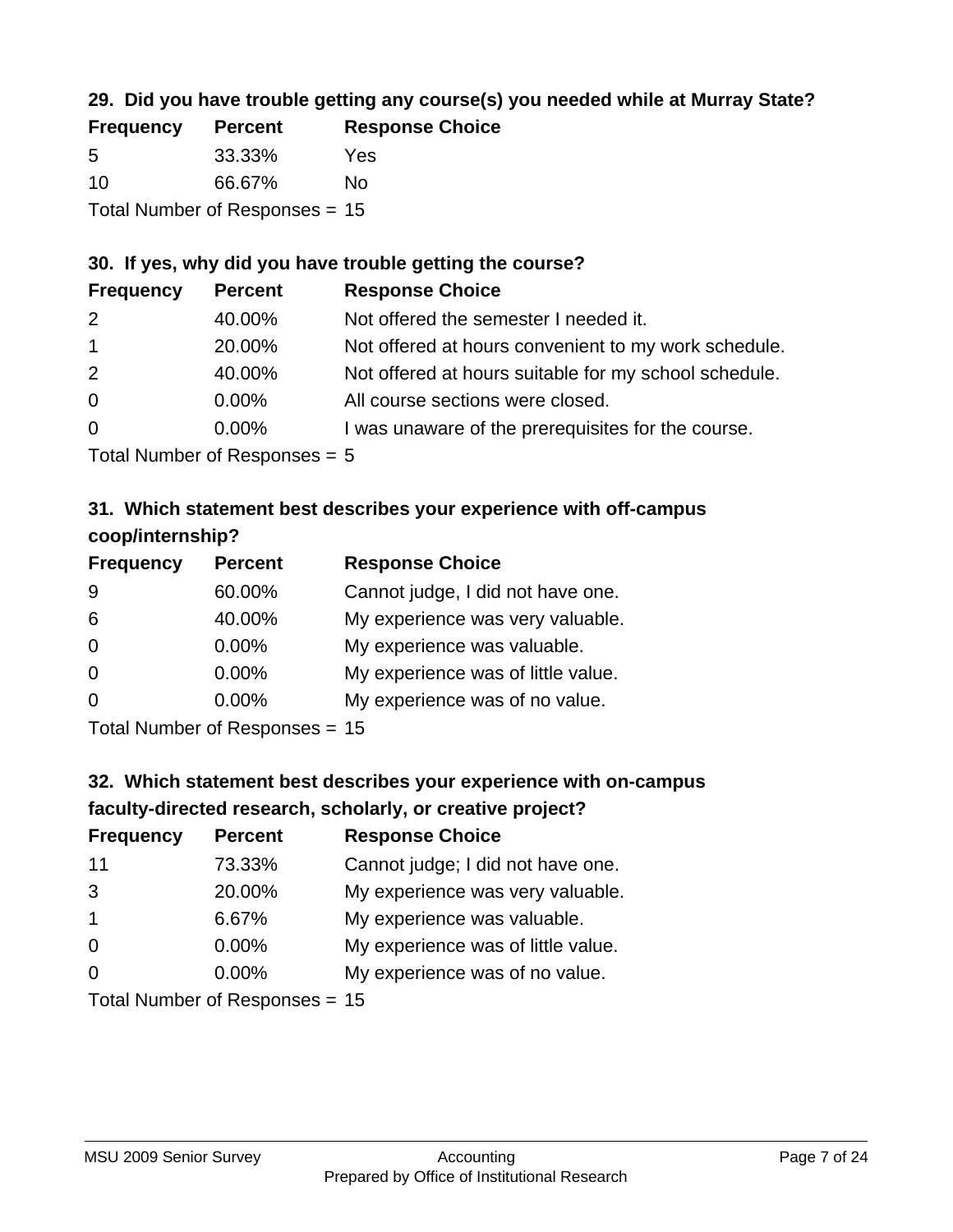## **29. Did you have trouble getting any course(s) you needed while at Murray State?**

| <b>Frequency</b> | <b>Percent</b>                   | <b>Response Choice</b> |
|------------------|----------------------------------|------------------------|
| -5               | 33.33%                           | Yes                    |
| 10               | 66.67%                           | Nο                     |
|                  | Total Number of Responses $= 15$ |                        |

### **30. If yes, why did you have trouble getting the course?**

| <b>Frequency</b> | <b>Percent</b> | <b>Response Choice</b>                                |
|------------------|----------------|-------------------------------------------------------|
| 2                | 40.00%         | Not offered the semester I needed it.                 |
| $\mathbf{1}$     | 20.00%         | Not offered at hours convenient to my work schedule.  |
| 2                | 40.00%         | Not offered at hours suitable for my school schedule. |
| $\overline{0}$   | $0.00\%$       | All course sections were closed.                      |
| $\overline{0}$   | $0.00\%$       | I was unaware of the prerequisites for the course.    |
|                  |                |                                                       |

Total Number of Responses = 5

## **31. Which statement best describes your experience with off-campus coop/internship?**

| <b>Frequency</b> | <b>Percent</b> | <b>Response Choice</b>             |
|------------------|----------------|------------------------------------|
| 9                | 60.00%         | Cannot judge, I did not have one.  |
| 6                | 40.00%         | My experience was very valuable.   |
| $\Omega$         | $0.00\%$       | My experience was valuable.        |
| $\overline{0}$   | 0.00%          | My experience was of little value. |
| $\Omega$         | $0.00\%$       | My experience was of no value.     |
|                  |                |                                    |

Total Number of Responses = 15

# **32. Which statement best describes your experience with on-campus faculty-directed research, scholarly, or creative project?**

| <b>Frequency</b> | <b>Percent</b>             | <b>Response Choice</b>             |
|------------------|----------------------------|------------------------------------|
| 11               | 73.33%                     | Cannot judge; I did not have one.  |
| 3                | 20.00%                     | My experience was very valuable.   |
| $\overline{1}$   | 6.67%                      | My experience was valuable.        |
| $\Omega$         | 0.00%                      | My experience was of little value. |
| $\Omega$         | 0.00%                      | My experience was of no value.     |
|                  | Tatal Number of Desperance |                                    |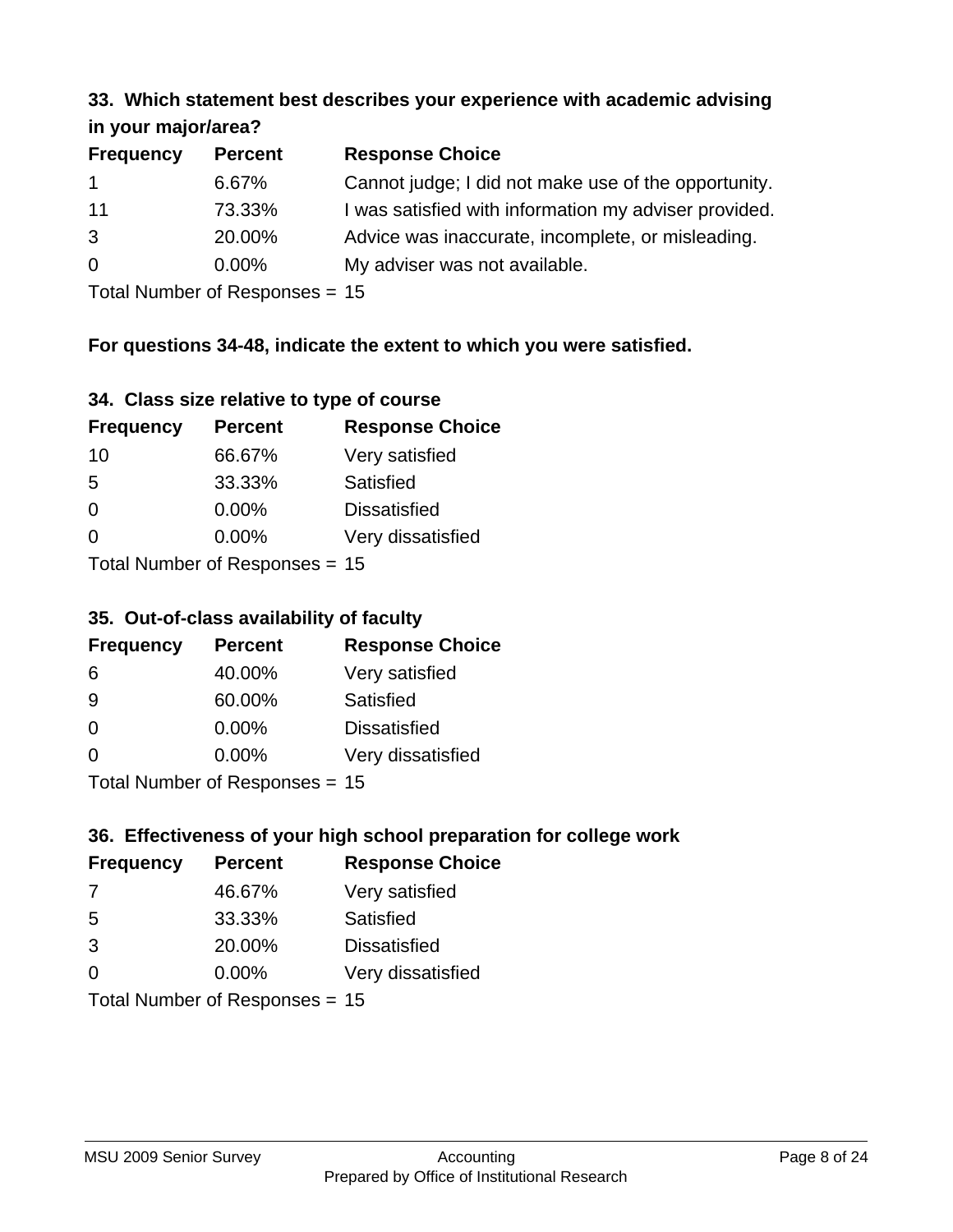#### **33. Which statement best describes your experience with academic advising in your major/area?**

| $ ,$ , $-$       |                |                                                       |
|------------------|----------------|-------------------------------------------------------|
| <b>Frequency</b> | <b>Percent</b> | <b>Response Choice</b>                                |
| $\overline{1}$   | 6.67%          | Cannot judge; I did not make use of the opportunity.  |
| 11               | 73.33%         | I was satisfied with information my adviser provided. |
| 3                | 20.00%         | Advice was inaccurate, incomplete, or misleading.     |
| $\overline{0}$   | $0.00\%$       | My adviser was not available.                         |
|                  |                |                                                       |

Total Number of Responses = 15

## **For questions 34-48, indicate the extent to which you were satisfied.**

| 34. Class size relative to type of course |  |  |  |  |  |  |  |  |
|-------------------------------------------|--|--|--|--|--|--|--|--|
|-------------------------------------------|--|--|--|--|--|--|--|--|

| <b>Frequency</b>               | <b>Percent</b> | <b>Response Choice</b> |  |
|--------------------------------|----------------|------------------------|--|
| 10                             | 66.67%         | Very satisfied         |  |
| -5                             | 33.33%         | Satisfied              |  |
| $\Omega$                       | $0.00\%$       | <b>Dissatisfied</b>    |  |
| $\Omega$                       | $0.00\%$       | Very dissatisfied      |  |
| Total Number of Responses - 15 |                |                        |  |

Total Number of Responses = 15

### **35. Out-of-class availability of faculty**

| <b>Frequency</b> | <b>Percent</b>           | <b>Response Choice</b> |
|------------------|--------------------------|------------------------|
| 6                | 40.00%                   | Very satisfied         |
| 9                | 60.00%                   | Satisfied              |
| $\Omega$         | $0.00\%$                 | <b>Dissatisfied</b>    |
| $\Omega$         | $0.00\%$                 | Very dissatisfied      |
|                  | Total Number of DoEROR 0 |                        |

Total Number of Responses = 15

## **36. Effectiveness of your high school preparation for college work**

| <b>Frequency</b> | <b>Percent</b>                 | <b>Response Choice</b> |
|------------------|--------------------------------|------------------------|
| 7                | 46.67%                         | Very satisfied         |
| 5                | 33.33%                         | Satisfied              |
| 3                | 20.00%                         | <b>Dissatisfied</b>    |
| $\Omega$         | $0.00\%$                       | Very dissatisfied      |
|                  | Total Number of Responses = 15 |                        |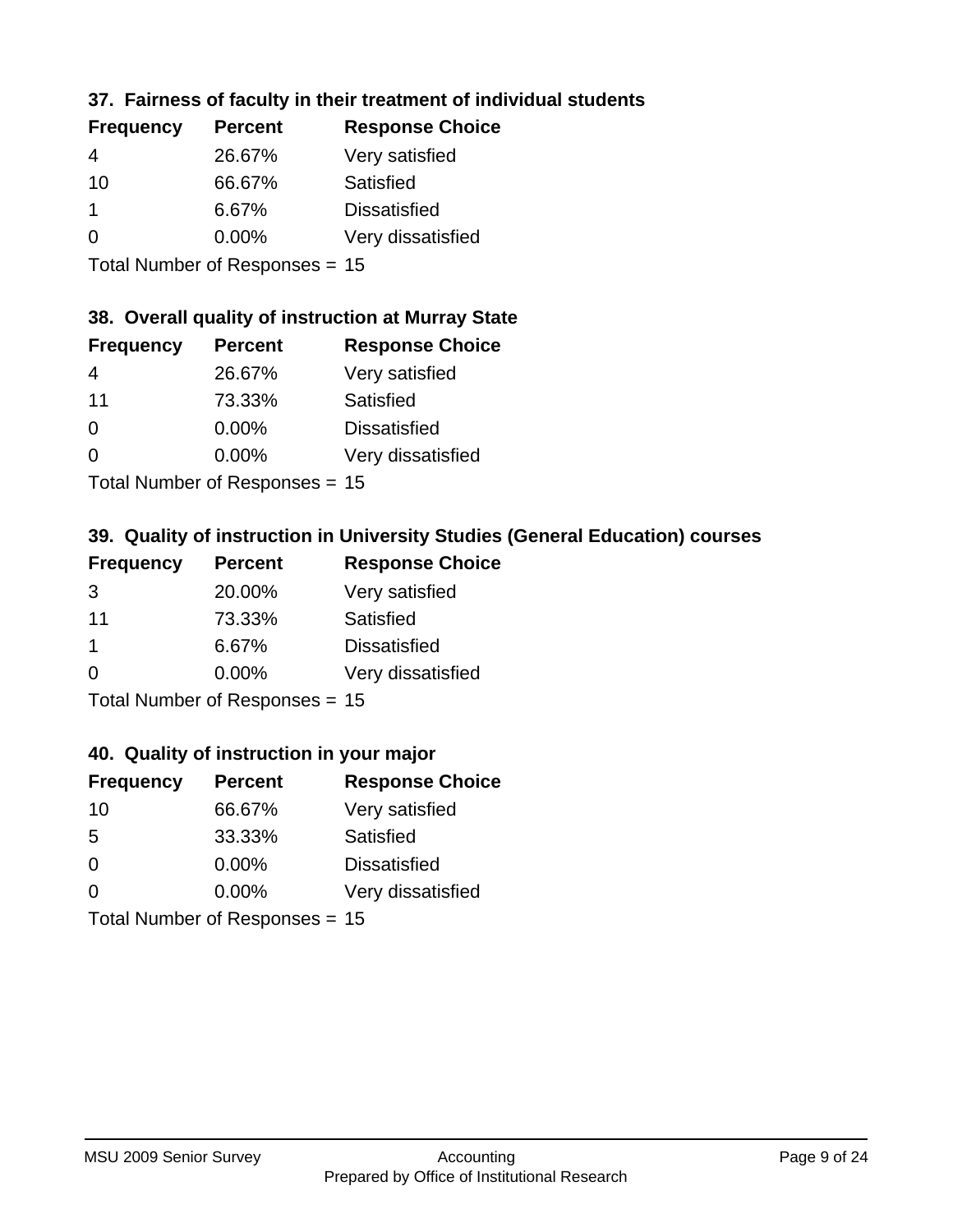## **37. Fairness of faculty in their treatment of individual students**

| <b>Frequency</b> | <b>Percent</b> | <b>Response Choice</b> |
|------------------|----------------|------------------------|
| 4                | 26.67%         | Very satisfied         |
| 10               | 66.67%         | Satisfied              |
|                  | 6.67%          | <b>Dissatisfied</b>    |
| $\Omega$         | 0.00%          | Very dissatisfied      |
|                  |                |                        |

Total Number of Responses = 15

#### **38. Overall quality of instruction at Murray State**

| <b>Frequency</b> | <b>Percent</b>               | <b>Response Choice</b> |
|------------------|------------------------------|------------------------|
| 4                | 26.67%                       | Very satisfied         |
| 11               | 73.33%                       | Satisfied              |
| $\Omega$         | 0.00%                        | <b>Dissatisfied</b>    |
| $\Omega$         | 0.00%                        | Very dissatisfied      |
|                  | The HI all and December 1999 |                        |

Total Number of Responses = 15

## **39. Quality of instruction in University Studies (General Education) courses**

| <b>Frequency</b> | <b>Percent</b>            | <b>Response Choice</b> |
|------------------|---------------------------|------------------------|
| 3                | 20.00%                    | Very satisfied         |
| 11               | 73.33%                    | Satisfied              |
| -1               | 6.67%                     | <b>Dissatisfied</b>    |
| $\Omega$         | 0.00%                     | Very dissatisfied      |
|                  | Total Number of Deepensee |                        |

Total Number of Responses = 15

## **40. Quality of instruction in your major**

| <b>Frequency</b> | <b>Percent</b>            | <b>Response Choice</b> |
|------------------|---------------------------|------------------------|
| 10               | 66.67%                    | Very satisfied         |
| 5                | 33.33%                    | Satisfied              |
| $\Omega$         | 0.00%                     | <b>Dissatisfied</b>    |
| $\Omega$         | 0.00%                     | Very dissatisfied      |
|                  | Total Number of Desponses |                        |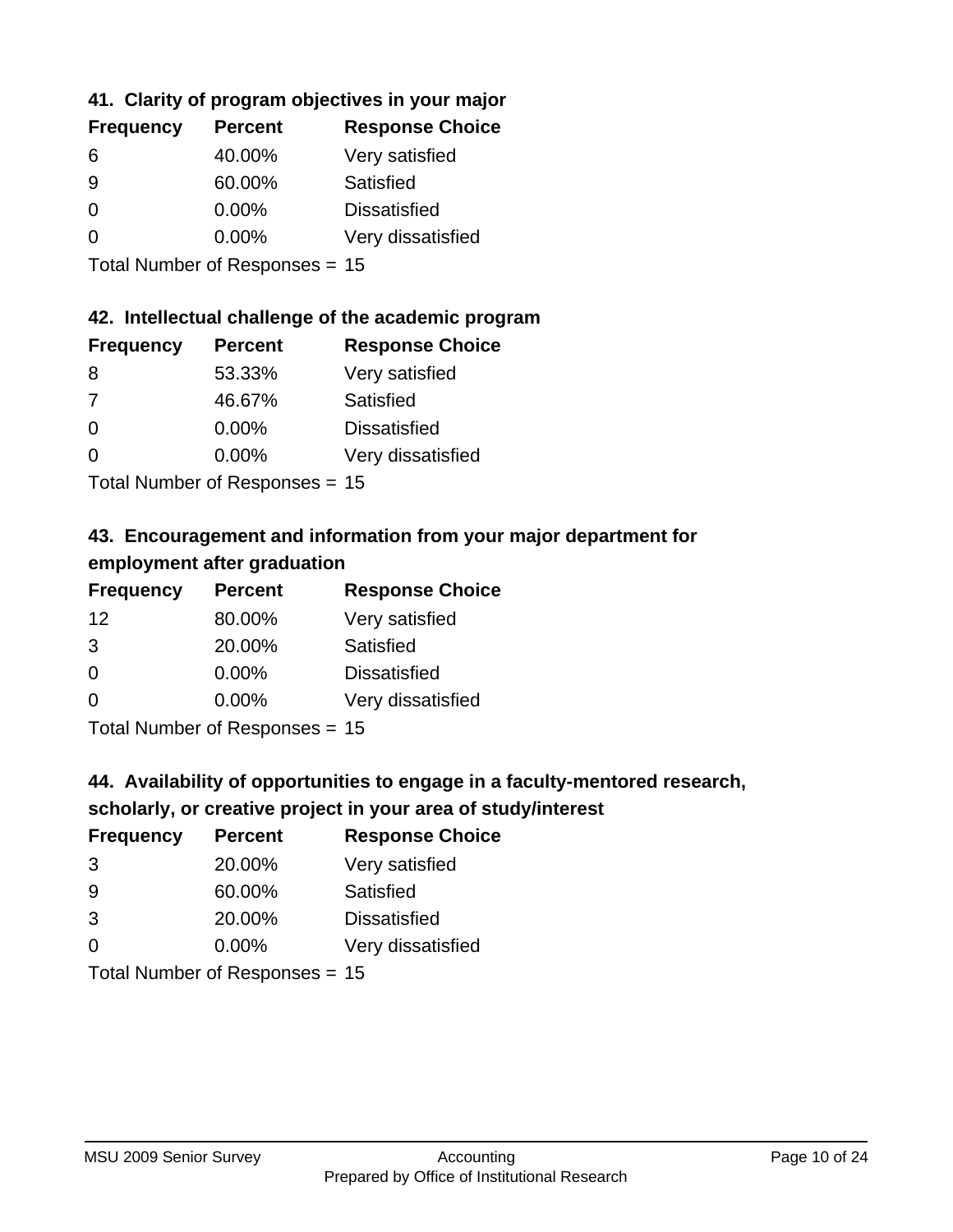## **41. Clarity of program objectives in your major**

| <b>Frequency</b> | <b>Percent</b> | <b>Response Choice</b> |
|------------------|----------------|------------------------|
| 6                | 40.00%         | Very satisfied         |
| 9                | 60.00%         | Satisfied              |
| 0                | $0.00\%$       | <b>Dissatisfied</b>    |
| ∩                | $0.00\%$       | Very dissatisfied      |
|                  |                |                        |

Total Number of Responses = 15

#### **42. Intellectual challenge of the academic program**

| <b>Frequency</b> | <b>Percent</b> | <b>Response Choice</b> |
|------------------|----------------|------------------------|
| 8                | 53.33%         | Very satisfied         |
| 7                | 46.67%         | Satisfied              |
| $\Omega$         | 0.00%          | <b>Dissatisfied</b>    |
| $\Omega$         | 0.00%          | Very dissatisfied      |
|                  |                |                        |

Total Number of Responses = 15

## **43. Encouragement and information from your major department for employment after graduation**

| <b>Frequency</b> | <b>Percent</b>                | <b>Response Choice</b> |
|------------------|-------------------------------|------------------------|
| 12               | 80.00%                        | Very satisfied         |
| 3                | 20.00%                        | Satisfied              |
| 0                | 0.00%                         | <b>Dissatisfied</b>    |
| $\Omega$         | 0.00%                         | Very dissatisfied      |
|                  | $T$ and Number of Description |                        |

Total Number of Responses = 15

# **44. Availability of opportunities to engage in a faculty-mentored research,**

## **scholarly, or creative project in your area of study/interest**

| <b>Frequency</b> | <b>Percent</b> | <b>Response Choice</b> |
|------------------|----------------|------------------------|
| 3                | 20.00%         | Very satisfied         |
| 9                | 60.00%         | Satisfied              |
| 3                | 20.00%         | <b>Dissatisfied</b>    |
| $\Omega$         | 0.00%          | Very dissatisfied      |
|                  |                |                        |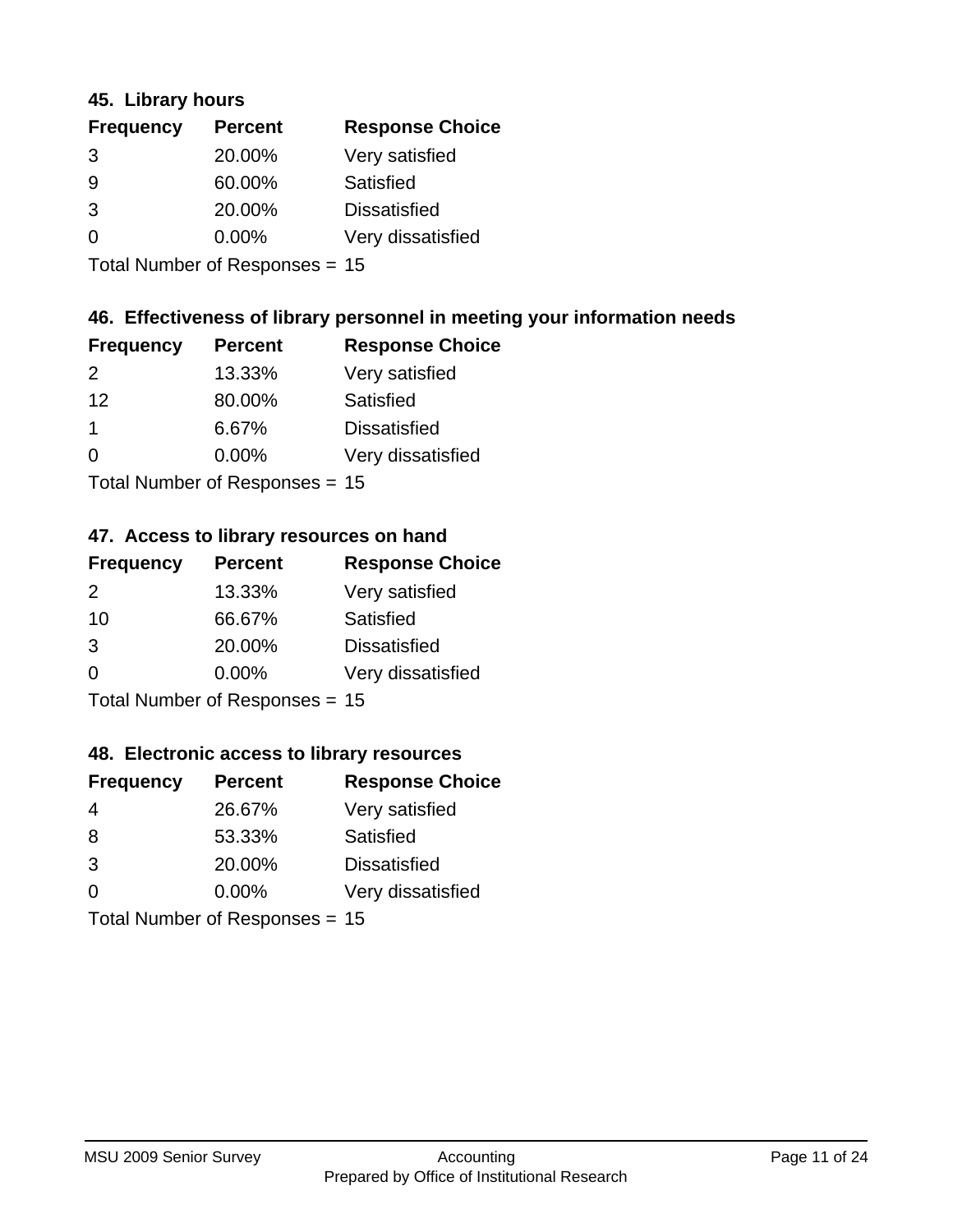#### **45. Library hours**

| <b>Frequency</b> | <b>Percent</b> | <b>Response Choice</b> |
|------------------|----------------|------------------------|
| 3                | 20.00%         | Very satisfied         |
| 9                | 60.00%         | Satisfied              |
| 3                | 20.00%         | <b>Dissatisfied</b>    |
| 0                | 0.00%          | Very dissatisfied      |
|                  |                |                        |

Total Number of Responses = 15

## **46. Effectiveness of library personnel in meeting your information needs**

| <b>Frequency</b> | <b>Percent</b> | <b>Response Choice</b> |
|------------------|----------------|------------------------|
| $\mathcal{P}$    | 13.33%         | Very satisfied         |
| 12               | 80.00%         | Satisfied              |
|                  | 6.67%          | <b>Dissatisfied</b>    |
| $\Omega$         | 0.00%          | Very dissatisfied      |
|                  |                |                        |

Total Number of Responses = 15

## **47. Access to library resources on hand**

| <b>Frequency</b> | <b>Percent</b>                 | <b>Response Choice</b> |
|------------------|--------------------------------|------------------------|
| $\mathcal{P}$    | 13.33%                         | Very satisfied         |
| 10               | 66.67%                         | Satisfied              |
| 3                | 20.00%                         | <b>Dissatisfied</b>    |
| $\Omega$         | $0.00\%$                       | Very dissatisfied      |
|                  | Total Number of Responses = 15 |                        |

## **48. Electronic access to library resources**

| <b>Frequency</b> | <b>Percent</b>                 | <b>Response Choice</b> |
|------------------|--------------------------------|------------------------|
| 4                | 26.67%                         | Very satisfied         |
| 8                | 53.33%                         | Satisfied              |
| 3                | 20.00%                         | <b>Dissatisfied</b>    |
| $\Omega$         | $0.00\%$                       | Very dissatisfied      |
|                  | Total Number of Responses = 15 |                        |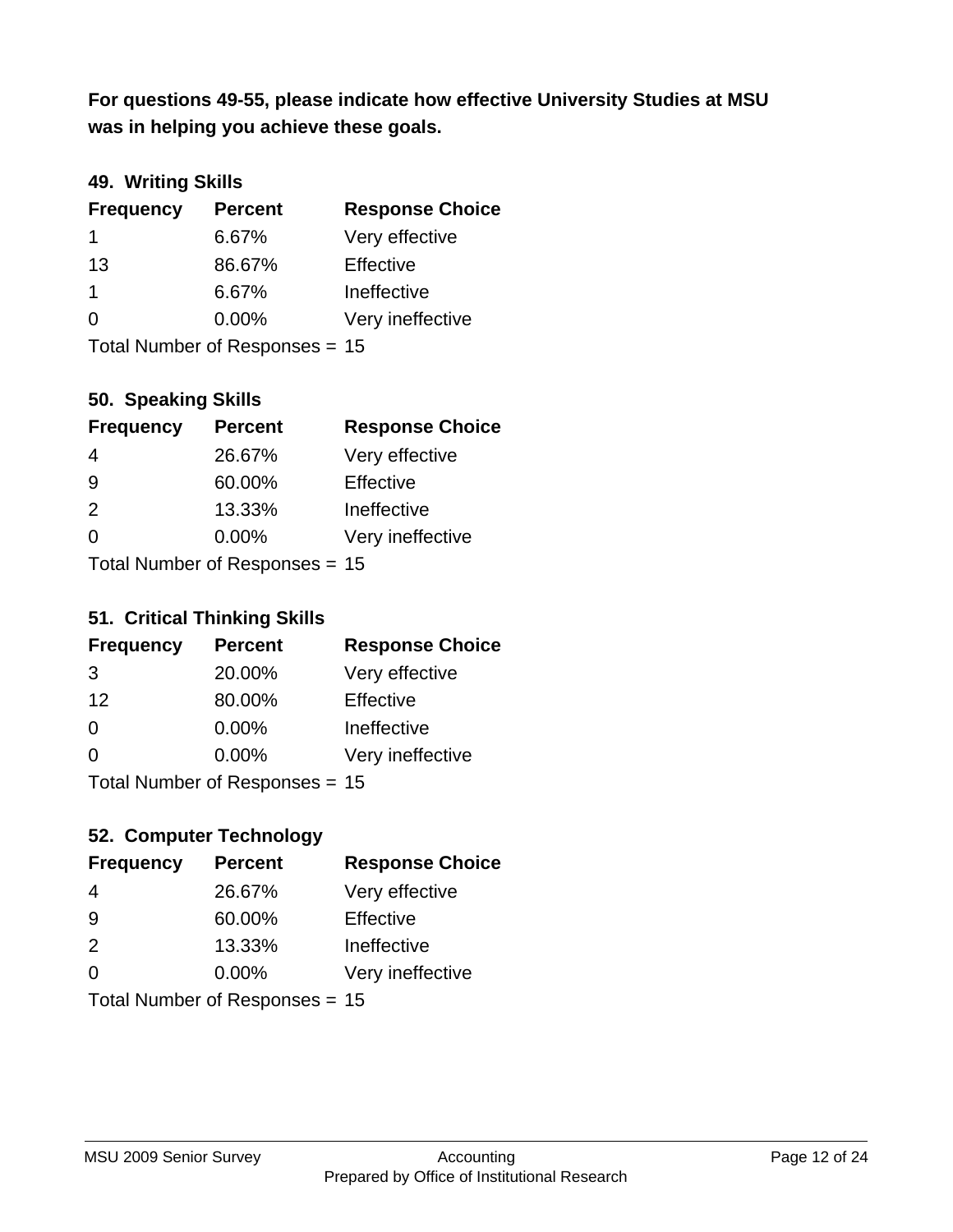**was in helping you achieve these goals. For questions 49-55, please indicate how effective University Studies at MSU** 

## **49. Writing Skills**

| <b>Frequency</b> | <b>Percent</b>                 | <b>Response Choice</b> |
|------------------|--------------------------------|------------------------|
| 1                | 6.67%                          | Very effective         |
| 13               | 86.67%                         | Effective              |
| $\mathbf 1$      | 6.67%                          | Ineffective            |
| $\Omega$         | $0.00\%$                       | Very ineffective       |
|                  | Total Number of Responses = 15 |                        |

#### **50. Speaking Skills**

| <b>Frequency</b> | <b>Percent</b>                 | <b>Response Choice</b> |
|------------------|--------------------------------|------------------------|
| 4                | 26.67%                         | Very effective         |
| 9                | 60.00%                         | Effective              |
| 2                | 13.33%                         | Ineffective            |
| $\Omega$         | 0.00%                          | Very ineffective       |
|                  | Total Number of Recnonces - 15 |                        |

Total Number of Responses = 15

#### **51. Critical Thinking Skills**

| <b>Frequency</b> | <b>Percent</b>            | <b>Response Choice</b> |
|------------------|---------------------------|------------------------|
| 3                | 20.00%                    | Very effective         |
| 12               | 80.00%                    | Effective              |
| $\Omega$         | 0.00%                     | Ineffective            |
| $\Omega$         | 0.00%                     | Very ineffective       |
|                  | Total Number of DoEROR 0. |                        |

Total Number of Responses = 15

## **52. Computer Technology**

| <b>Frequency</b> | <b>Percent</b>                 | <b>Response Choice</b> |
|------------------|--------------------------------|------------------------|
| 4                | 26.67%                         | Very effective         |
| 9                | 60.00%                         | Effective              |
| 2                | 13.33%                         | Ineffective            |
| $\Omega$         | 0.00%                          | Very ineffective       |
|                  | Total Number of Responses = 15 |                        |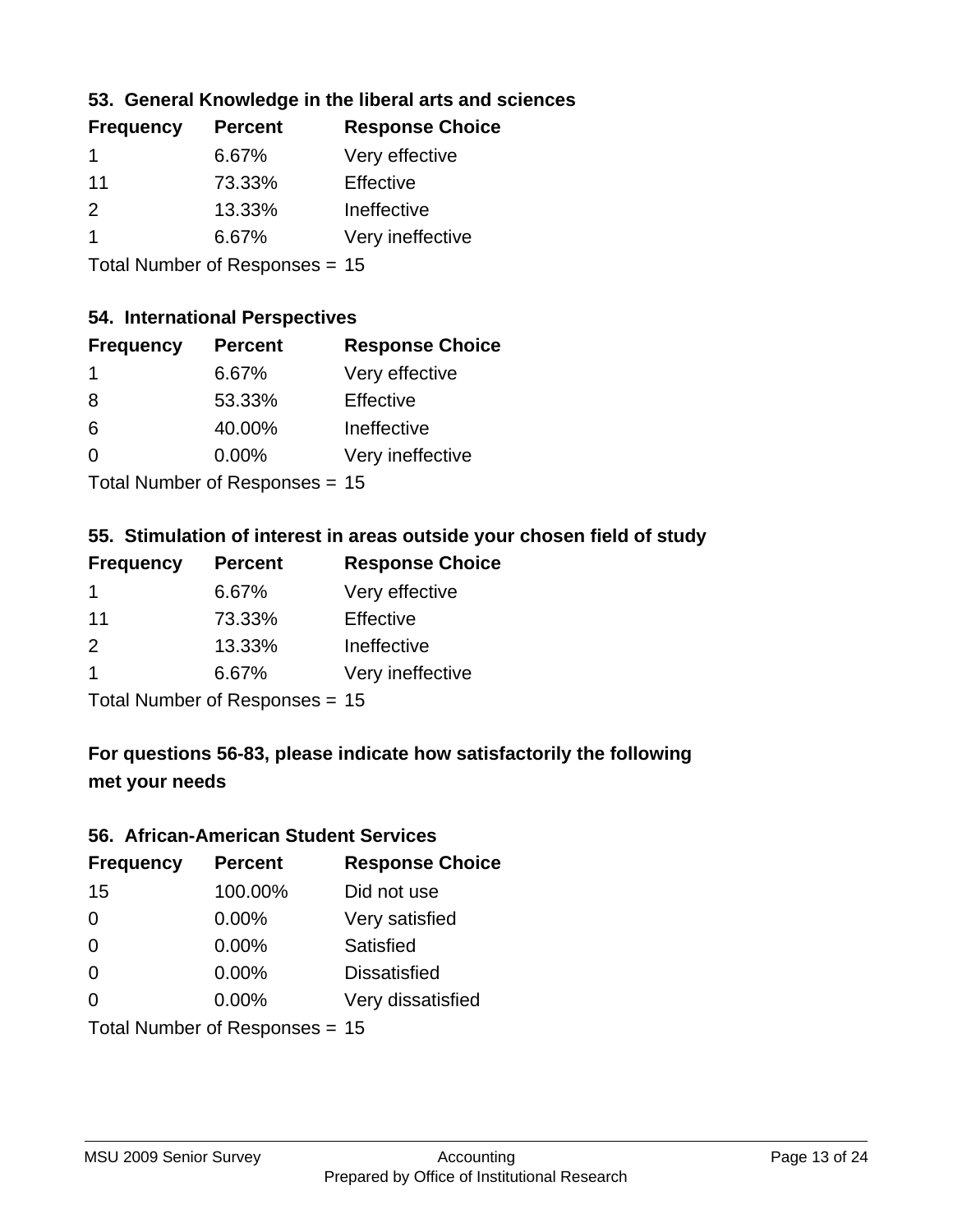## **53. General Knowledge in the liberal arts and sciences**

| <b>Frequency</b> | <b>Percent</b> | <b>Response Choice</b> |
|------------------|----------------|------------------------|
| -1               | 6.67%          | Very effective         |
| 11               | 73.33%         | Effective              |
| $\mathcal{P}$    | 13.33%         | Ineffective            |
|                  | 6.67%          | Very ineffective       |
|                  |                |                        |

Total Number of Responses = 15

## **54. International Perspectives**

| <b>Frequency</b> | <b>Percent</b>             | <b>Response Choice</b> |
|------------------|----------------------------|------------------------|
| -1               | 6.67%                      | Very effective         |
| 8                | 53.33%                     | Effective              |
| 6                | 40.00%                     | Ineffective            |
| $\Omega$         | 0.00%                      | Very ineffective       |
|                  | Tatal Manakan af Dagmanage |                        |

Total Number of Responses = 15

## **55. Stimulation of interest in areas outside your chosen field of study**

| <b>Frequency</b> | <b>Percent</b>                 | <b>Response Choice</b> |
|------------------|--------------------------------|------------------------|
| $\mathbf 1$      | 6.67%                          | Very effective         |
| 11               | 73.33%                         | Effective              |
| 2                | 13.33%                         | Ineffective            |
| $\overline{1}$   | 6.67%                          | Very ineffective       |
|                  | Total Number of Responses = 15 |                        |

## **For questions 56-83, please indicate how satisfactorily the following met your needs**

#### **56. African-American Student Services**

| <b>Frequency</b> | <b>Percent</b>                 | <b>Response Choice</b> |
|------------------|--------------------------------|------------------------|
| 15               | 100.00%                        | Did not use            |
| $\Omega$         | 0.00%                          | Very satisfied         |
| $\Omega$         | 0.00%                          | Satisfied              |
| $\Omega$         | $0.00\%$                       | <b>Dissatisfied</b>    |
| $\Omega$         | 0.00%                          | Very dissatisfied      |
|                  | Total Number of Responses = 15 |                        |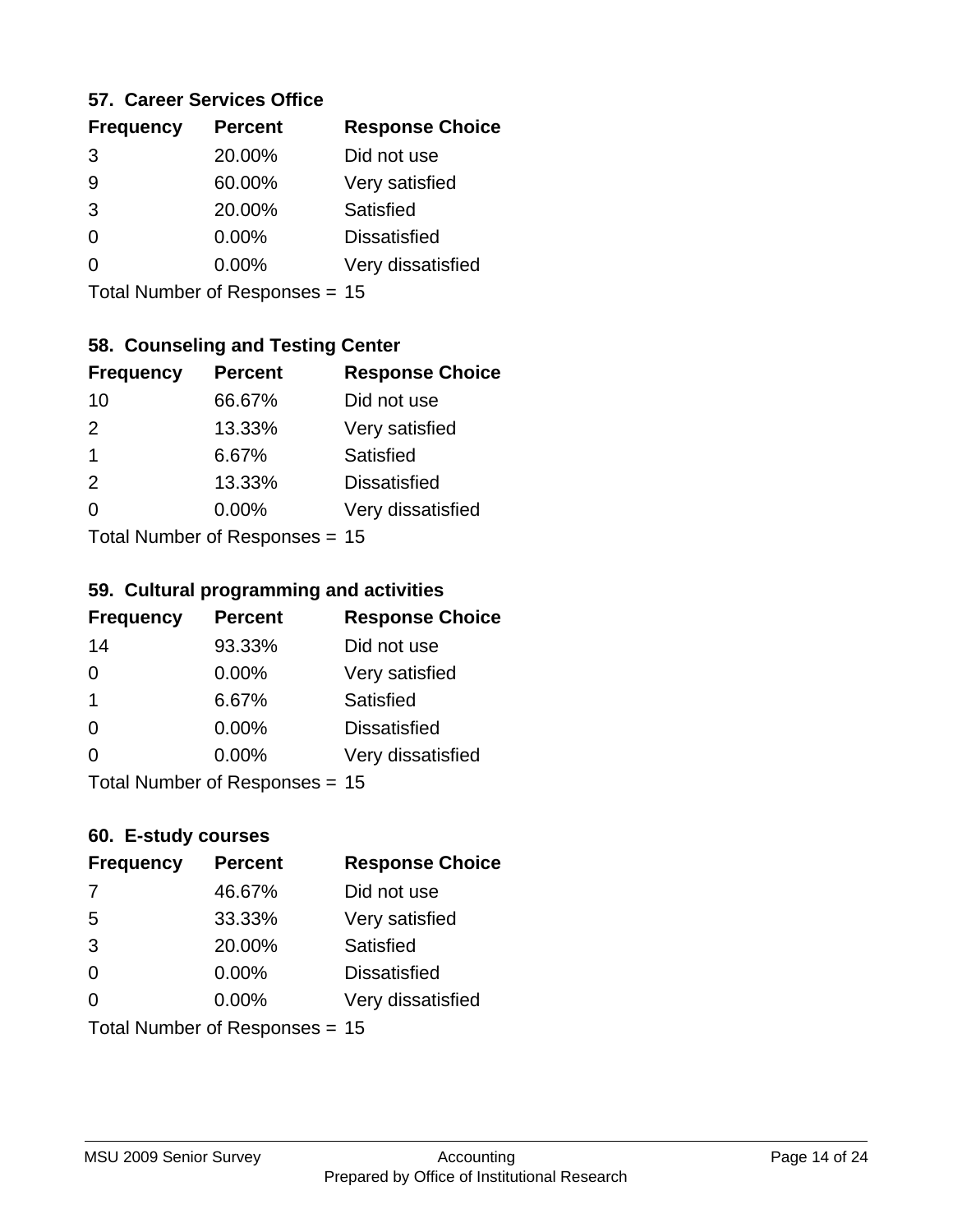#### **57. Career Services Office**

| <b>Frequency</b> | <b>Percent</b> | <b>Response Choice</b> |
|------------------|----------------|------------------------|
| 3                | 20.00%         | Did not use            |
| 9                | 60.00%         | Very satisfied         |
| 3                | 20.00%         | Satisfied              |
| O                | $0.00\%$       | <b>Dissatisfied</b>    |
|                  | $0.00\%$       | Very dissatisfied      |
|                  |                |                        |

Total Number of Responses = 15

## **58. Counseling and Testing Center**

| <b>Frequency</b> | <b>Percent</b>              | <b>Response Choice</b> |
|------------------|-----------------------------|------------------------|
| 10               | 66.67%                      | Did not use            |
| 2                | 13.33%                      | Very satisfied         |
| 1                | 6.67%                       | Satisfied              |
| 2                | 13.33%                      | <b>Dissatisfied</b>    |
| ∩                | 0.00%                       | Very dissatisfied      |
|                  | Total Number of Depanonce - |                        |

Total Number of Responses = 15

#### **59. Cultural programming and activities**

| <b>Frequency</b> | <b>Percent</b>                 | <b>Response Choice</b> |
|------------------|--------------------------------|------------------------|
| 14               | 93.33%                         | Did not use            |
| $\Omega$         | 0.00%                          | Very satisfied         |
| -1               | 6.67%                          | Satisfied              |
| $\Omega$         | $0.00\%$                       | <b>Dissatisfied</b>    |
| $\Omega$         | $0.00\%$                       | Very dissatisfied      |
|                  | Total Number of Responses = 15 |                        |

## **60. E-study courses**

| <b>Frequency</b> | <b>Percent</b>                 | <b>Response Choice</b> |
|------------------|--------------------------------|------------------------|
| 7                | 46.67%                         | Did not use            |
| 5                | 33.33%                         | Very satisfied         |
| 3                | 20.00%                         | Satisfied              |
| $\Omega$         | 0.00%                          | <b>Dissatisfied</b>    |
| $\Omega$         | 0.00%                          | Very dissatisfied      |
|                  | Total Number of Responses = 15 |                        |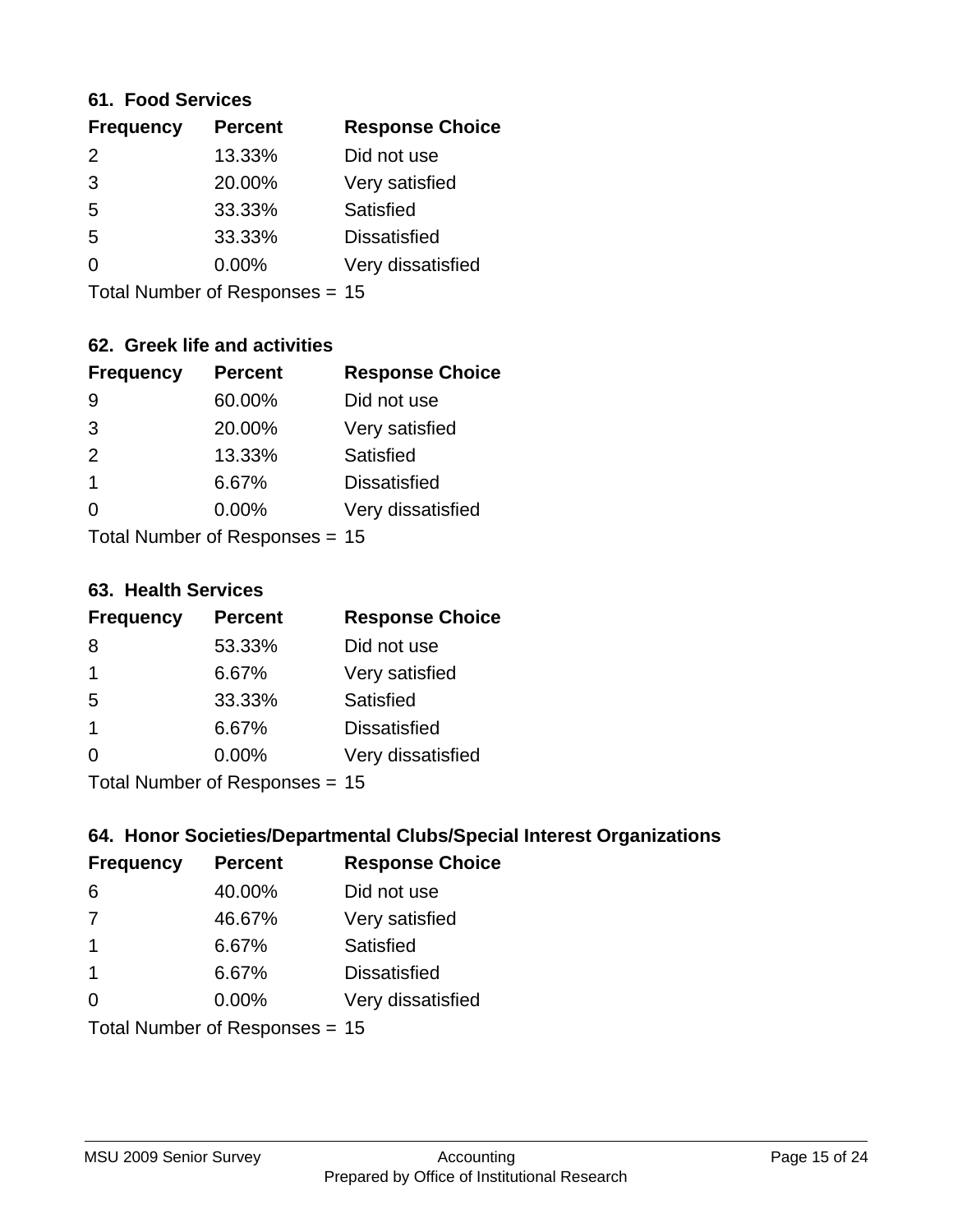#### **61. Food Services**

| <b>Frequency</b> | <b>Percent</b> | <b>Response Choice</b> |
|------------------|----------------|------------------------|
| $\mathcal{P}$    | 13.33%         | Did not use            |
| 3                | 20.00%         | Very satisfied         |
| 5                | 33.33%         | Satisfied              |
| 5                | 33.33%         | <b>Dissatisfied</b>    |
| O                | $0.00\%$       | Very dissatisfied      |
|                  |                |                        |

Total Number of Responses = 15

## **62. Greek life and activities**

| <b>Frequency</b>               | <b>Percent</b> | <b>Response Choice</b> |
|--------------------------------|----------------|------------------------|
| 9                              | 60.00%         | Did not use            |
| 3                              | 20.00%         | Very satisfied         |
| 2                              | 13.33%         | Satisfied              |
| 1                              | 6.67%          | <b>Dissatisfied</b>    |
| O                              | $0.00\%$       | Very dissatisfied      |
| Total Number of Responses = 15 |                |                        |

**63. Health Services**

| <b>Frequency</b> | <b>Percent</b>            | <b>Response Choice</b> |
|------------------|---------------------------|------------------------|
| 8                | 53.33%                    | Did not use            |
| $\mathbf 1$      | 6.67%                     | Very satisfied         |
| 5                | 33.33%                    | Satisfied              |
| -1               | 6.67%                     | <b>Dissatisfied</b>    |
| $\Omega$         | $0.00\%$                  | Very dissatisfied      |
|                  | Total Number of Desponses |                        |

Total Number of Responses = 15

## **64. Honor Societies/Departmental Clubs/Special Interest Organizations**

| <b>Frequency</b> | <b>Percent</b>                 | <b>Response Choice</b> |
|------------------|--------------------------------|------------------------|
| 6                | 40.00%                         | Did not use            |
| 7                | 46.67%                         | Very satisfied         |
| -1               | 6.67%                          | Satisfied              |
| -1               | 6.67%                          | <b>Dissatisfied</b>    |
| $\Omega$         | $0.00\%$                       | Very dissatisfied      |
|                  | Total Number of Responses = 15 |                        |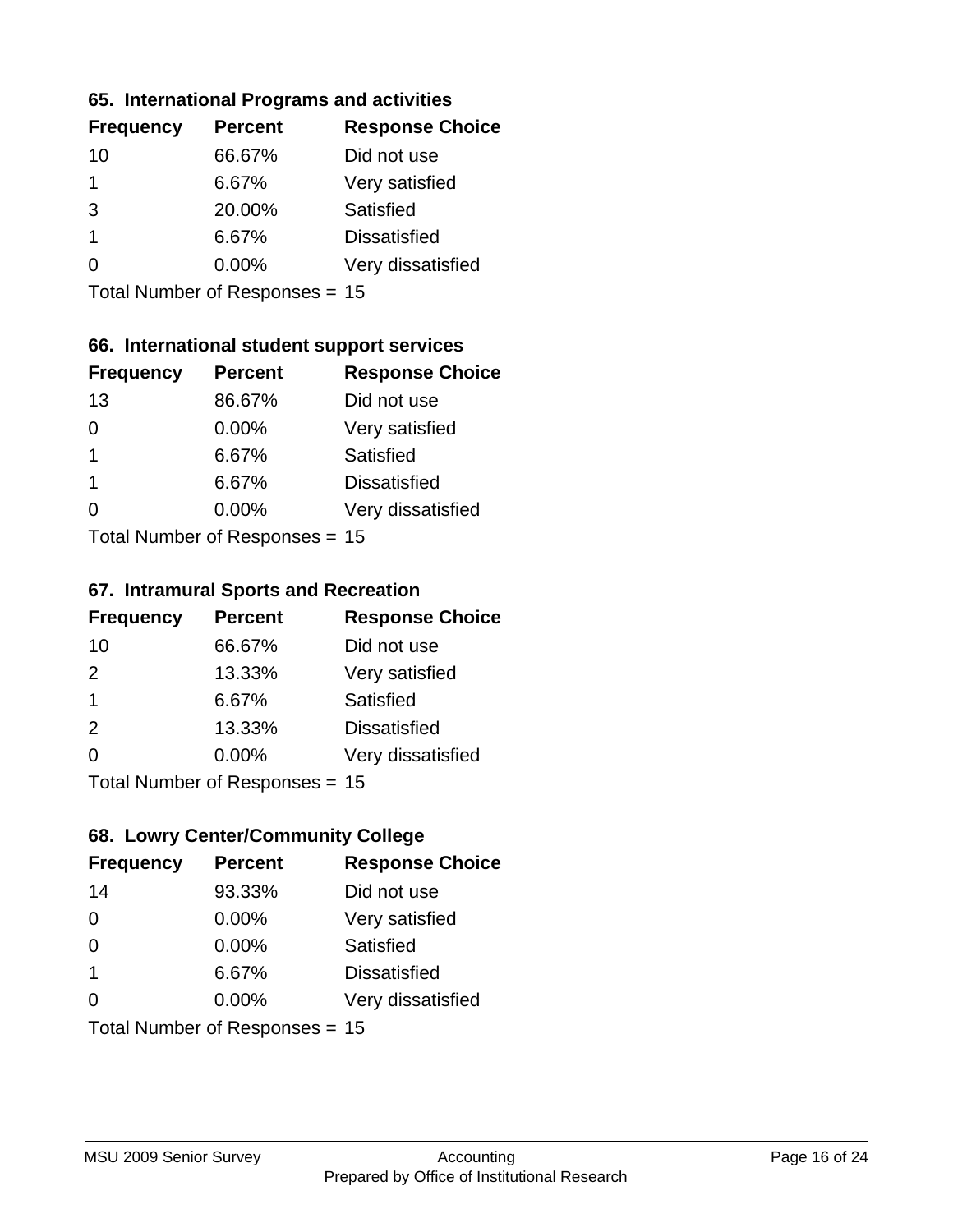#### **65. International Programs and activities**

| <b>Frequency</b> | <b>Percent</b> | <b>Response Choice</b> |
|------------------|----------------|------------------------|
| 10               | 66.67%         | Did not use            |
| 1                | 6.67%          | Very satisfied         |
| 3                | 20.00%         | Satisfied              |
| 1                | 6.67%          | <b>Dissatisfied</b>    |
|                  | $0.00\%$       | Very dissatisfied      |
|                  |                |                        |

Total Number of Responses = 15

## **66. International student support services**

| <b>Frequency</b>          | <b>Percent</b> | <b>Response Choice</b> |
|---------------------------|----------------|------------------------|
| 13                        | 86.67%         | Did not use            |
| 0                         | 0.00%          | Very satisfied         |
| 1                         | 6.67%          | Satisfied              |
| 1                         | 6.67%          | <b>Dissatisfied</b>    |
| ∩                         | 0.00%          | Very dissatisfied      |
| Total Number of Desponses |                |                        |

Total Number of Responses = 15

#### **67. Intramural Sports and Recreation**

| <b>Frequency</b>        | <b>Percent</b>                  | <b>Response Choice</b> |
|-------------------------|---------------------------------|------------------------|
| 10                      | 66.67%                          | Did not use            |
| 2                       | 13.33%                          | Very satisfied         |
| $\overline{\mathbf{1}}$ | 6.67%                           | <b>Satisfied</b>       |
| 2                       | 13.33%                          | <b>Dissatisfied</b>    |
| $\Omega$                | 0.00%                           | Very dissatisfied      |
|                         | $Total Number of Denonose = 45$ |                        |

Total Number of Responses = 15

## **68. Lowry Center/Community College**

| <b>Frequency</b>        | <b>Percent</b>                 | <b>Response Choice</b> |
|-------------------------|--------------------------------|------------------------|
| 14                      | 93.33%                         | Did not use            |
| $\Omega$                | 0.00%                          | Very satisfied         |
| $\Omega$                | 0.00%                          | Satisfied              |
| $\overline{\mathbf{1}}$ | 6.67%                          | <b>Dissatisfied</b>    |
| $\Omega$                | $0.00\%$                       | Very dissatisfied      |
|                         | Total Number of Responses = 15 |                        |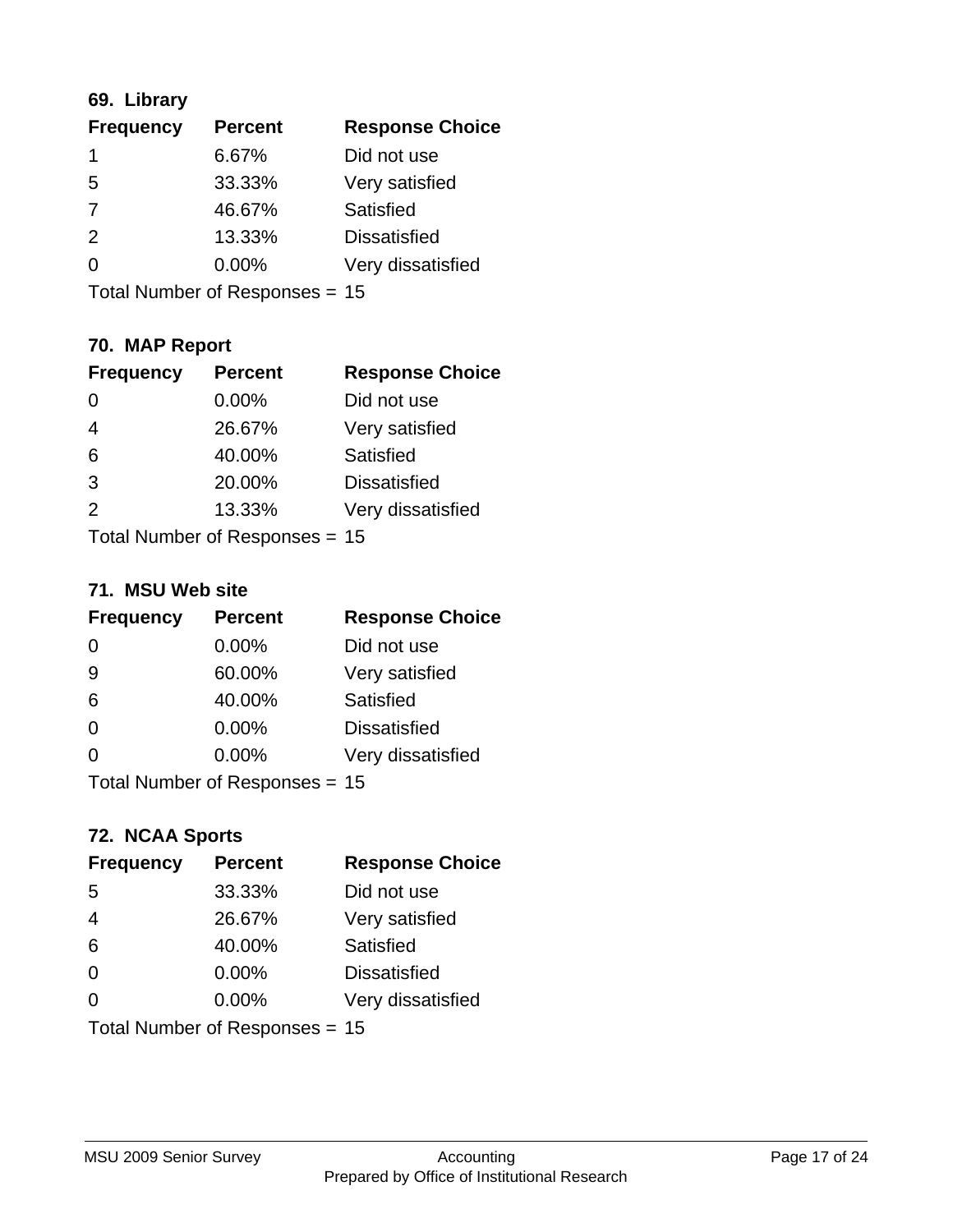## **69. Library**

| <b>Frequency</b> | <b>Percent</b> | <b>Response Choice</b> |
|------------------|----------------|------------------------|
|                  | 6.67%          | Did not use            |
| 5                | 33.33%         | Very satisfied         |
| 7                | 46.67%         | Satisfied              |
| $\mathcal{P}$    | 13.33%         | <b>Dissatisfied</b>    |
| ∩                | $0.00\%$       | Very dissatisfied      |
|                  |                |                        |

Total Number of Responses = 15

## **70. MAP Report**

| <b>Frequency</b> | <b>Percent</b>                 | <b>Response Choice</b> |
|------------------|--------------------------------|------------------------|
| 0                | 0.00%                          | Did not use            |
| $\overline{4}$   | 26.67%                         | Very satisfied         |
| 6                | 40.00%                         | Satisfied              |
| 3                | 20.00%                         | <b>Dissatisfied</b>    |
| $\mathcal{P}$    | 13.33%                         | Very dissatisfied      |
|                  | Total Number of Responses = 15 |                        |

#### **71. MSU Web site**

| <b>Frequency</b>               | <b>Percent</b> | <b>Response Choice</b> |
|--------------------------------|----------------|------------------------|
| $\Omega$                       | 0.00%          | Did not use            |
| 9                              | 60.00%         | Very satisfied         |
| 6                              | 40.00%         | Satisfied              |
| $\Omega$                       | $0.00\%$       | <b>Dissatisfied</b>    |
| ∩                              | 0.00%          | Very dissatisfied      |
| Total Number of Responses = 15 |                |                        |

## **72. NCAA Sports**

| <b>Frequency</b>               | <b>Percent</b> | <b>Response Choice</b> |
|--------------------------------|----------------|------------------------|
| 5                              | 33.33%         | Did not use            |
| $\overline{4}$                 | 26.67%         | Very satisfied         |
| 6                              | 40.00%         | Satisfied              |
| 0                              | $0.00\%$       | <b>Dissatisfied</b>    |
| $\Omega$                       | 0.00%          | Very dissatisfied      |
| Total Number of Responses = 15 |                |                        |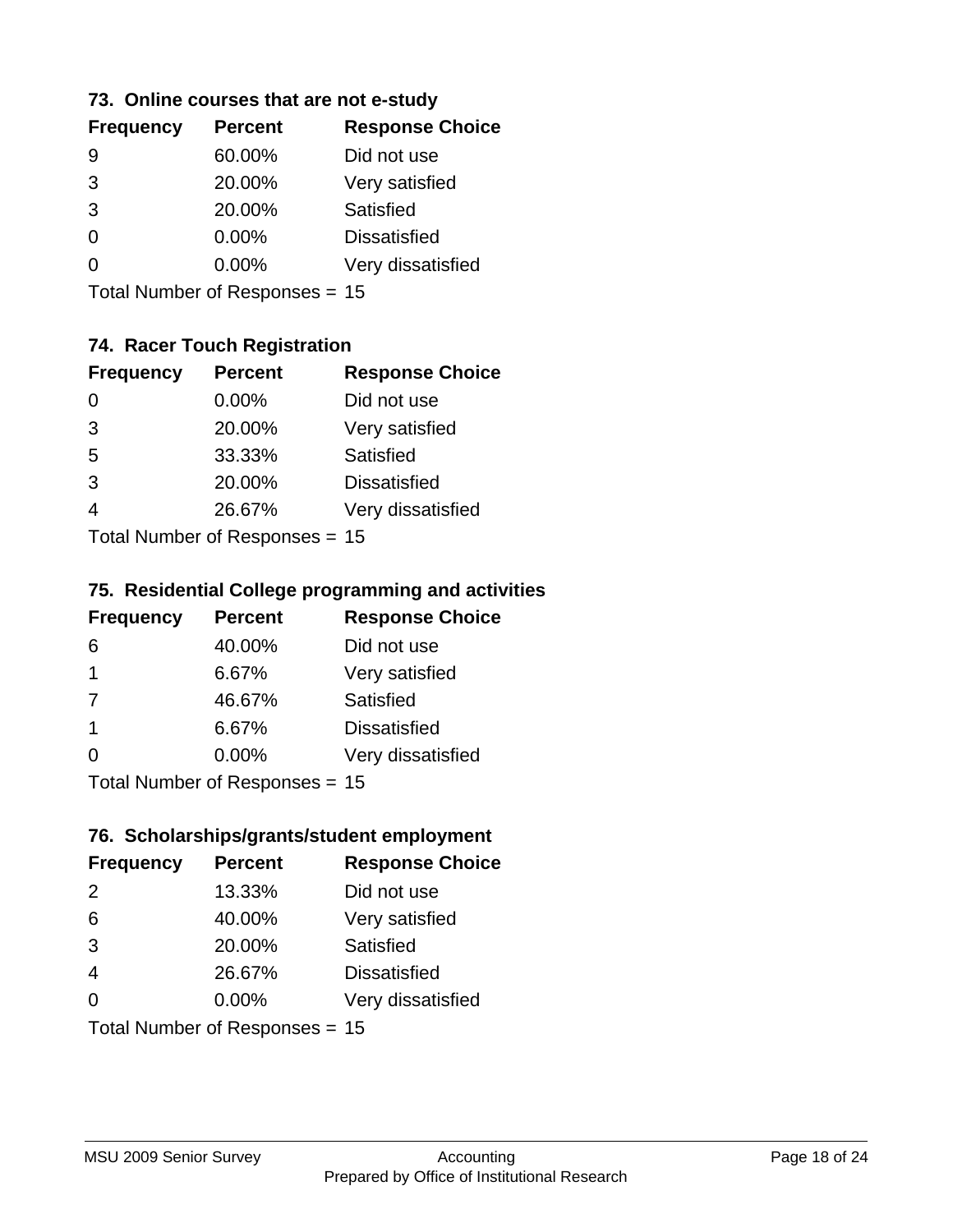#### **73. Online courses that are not e-study**

| <b>Frequency</b> | <b>Percent</b> | <b>Response Choice</b> |
|------------------|----------------|------------------------|
|                  | 60.00%         | Did not use            |
| 3                | 20.00%         | Very satisfied         |
| 3                | 20.00%         | Satisfied              |
| 0                | $0.00\%$       | <b>Dissatisfied</b>    |
|                  | $0.00\%$       | Very dissatisfied      |
|                  |                |                        |

Total Number of Responses = 15

## **74. Racer Touch Registration**

| <b>Frequency</b>          | <b>Percent</b> | <b>Response Choice</b> |  |
|---------------------------|----------------|------------------------|--|
| ∩                         | 0.00%          | Did not use            |  |
| 3                         | 20.00%         | Very satisfied         |  |
| 5                         | 33.33%         | Satisfied              |  |
| 3                         | 20.00%         | <b>Dissatisfied</b>    |  |
| 4                         | 26.67%         | Very dissatisfied      |  |
| Total Number of Desponses |                |                        |  |

Total Number of Responses = 15

#### **75. Residential College programming and activities**

| <b>Frequency</b> | <b>Percent</b>            | <b>Response Choice</b> |
|------------------|---------------------------|------------------------|
| 6                | 40.00%                    | Did not use            |
| $\overline{1}$   | 6.67%                     | Very satisfied         |
| 7                | 46.67%                    | Satisfied              |
| -1               | 6.67%                     | <b>Dissatisfied</b>    |
| $\Omega$         | 0.00%                     | Very dissatisfied      |
|                  | Total Number of DoEROR 0. |                        |

Total Number of Responses = 15

#### **76. Scholarships/grants/student employment**

| <b>Frequency</b>               | <b>Percent</b> | <b>Response Choice</b> |
|--------------------------------|----------------|------------------------|
| $\mathcal{P}$                  | 13.33%         | Did not use            |
| 6                              | 40.00%         | Very satisfied         |
| 3                              | 20.00%         | Satisfied              |
| $\overline{4}$                 | 26.67%         | <b>Dissatisfied</b>    |
| $\Omega$                       | $0.00\%$       | Very dissatisfied      |
| Total Number of Responses = 15 |                |                        |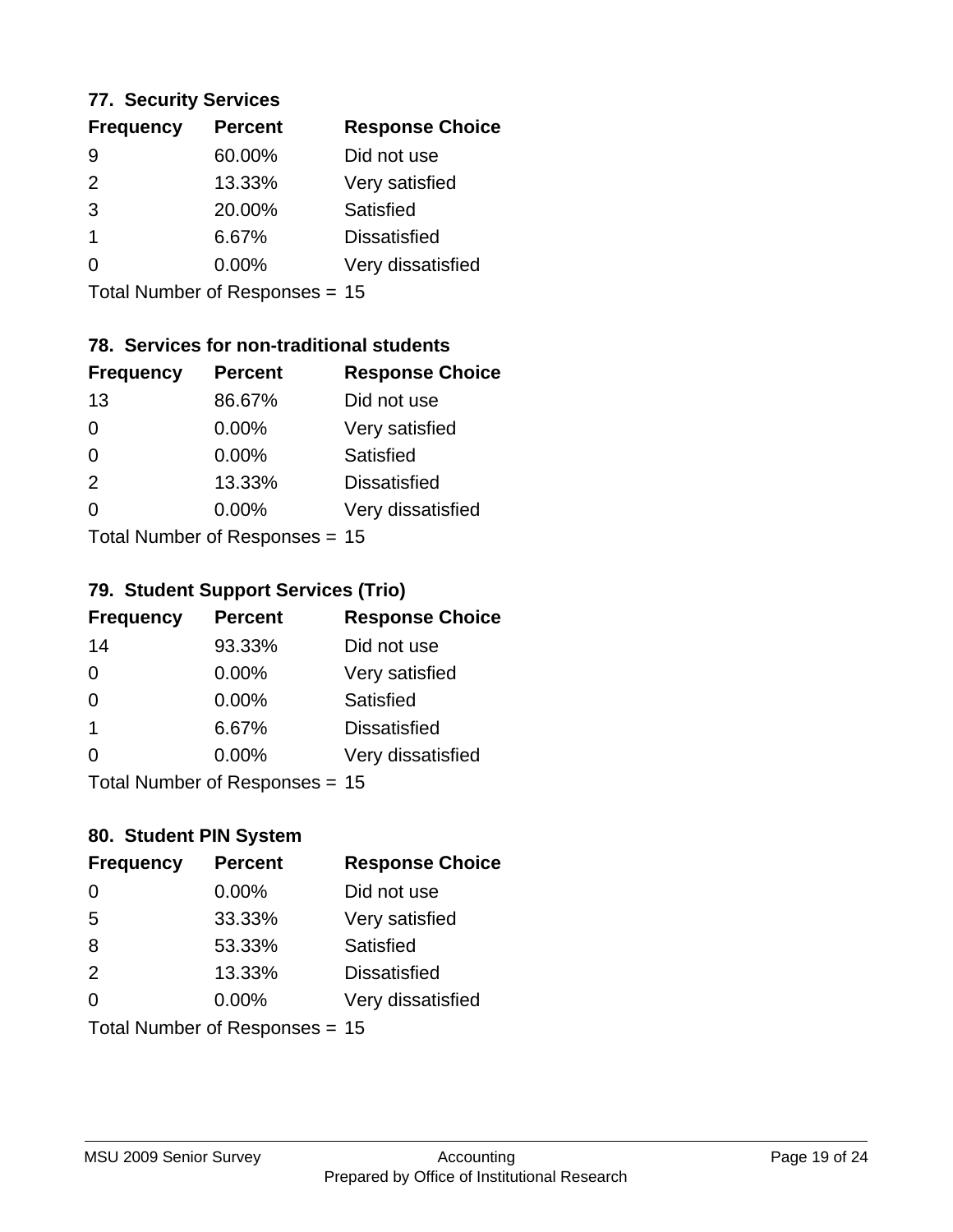#### **77. Security Services**

| <b>Percent</b> | <b>Response Choice</b> |
|----------------|------------------------|
| 60.00%         | Did not use            |
| 13.33%         | Very satisfied         |
| 20.00%         | Satisfied              |
| 6.67%          | <b>Dissatisfied</b>    |
| $0.00\%$       | Very dissatisfied      |
|                |                        |

Total Number of Responses = 15

## **78. Services for non-traditional students**

| <b>Frequency</b>                | <b>Percent</b> | <b>Response Choice</b> |
|---------------------------------|----------------|------------------------|
| 13                              | 86.67%         | Did not use            |
| $\Omega$                        | 0.00%          | Very satisfied         |
| $\Omega$                        | 0.00%          | <b>Satisfied</b>       |
| 2                               | 13.33%         | <b>Dissatisfied</b>    |
| $\Omega$                        | $0.00\%$       | Very dissatisfied      |
| $Total Number of Denonose = 45$ |                |                        |

Total Number of Responses = 15

#### **79. Student Support Services (Trio)**

| <b>Frequency</b>          | <b>Percent</b> | <b>Response Choice</b> |
|---------------------------|----------------|------------------------|
| 14                        | 93.33%         | Did not use            |
| $\Omega$                  | $0.00\%$       | Very satisfied         |
| $\Omega$                  | $0.00\%$       | Satisfied              |
| $\mathbf 1$               | 6.67%          | <b>Dissatisfied</b>    |
| $\Omega$                  | $0.00\%$       | Very dissatisfied      |
| Total Number of DoEROR 0. |                |                        |

Total Number of Responses = 15

## **80. Student PIN System**

| <b>Frequency</b>               | <b>Percent</b> | <b>Response Choice</b> |
|--------------------------------|----------------|------------------------|
| $\Omega$                       | 0.00%          | Did not use            |
| 5                              | 33.33%         | Very satisfied         |
| 8                              | 53.33%         | Satisfied              |
| 2                              | 13.33%         | <b>Dissatisfied</b>    |
| 0                              | 0.00%          | Very dissatisfied      |
| Total Number of Responses = 15 |                |                        |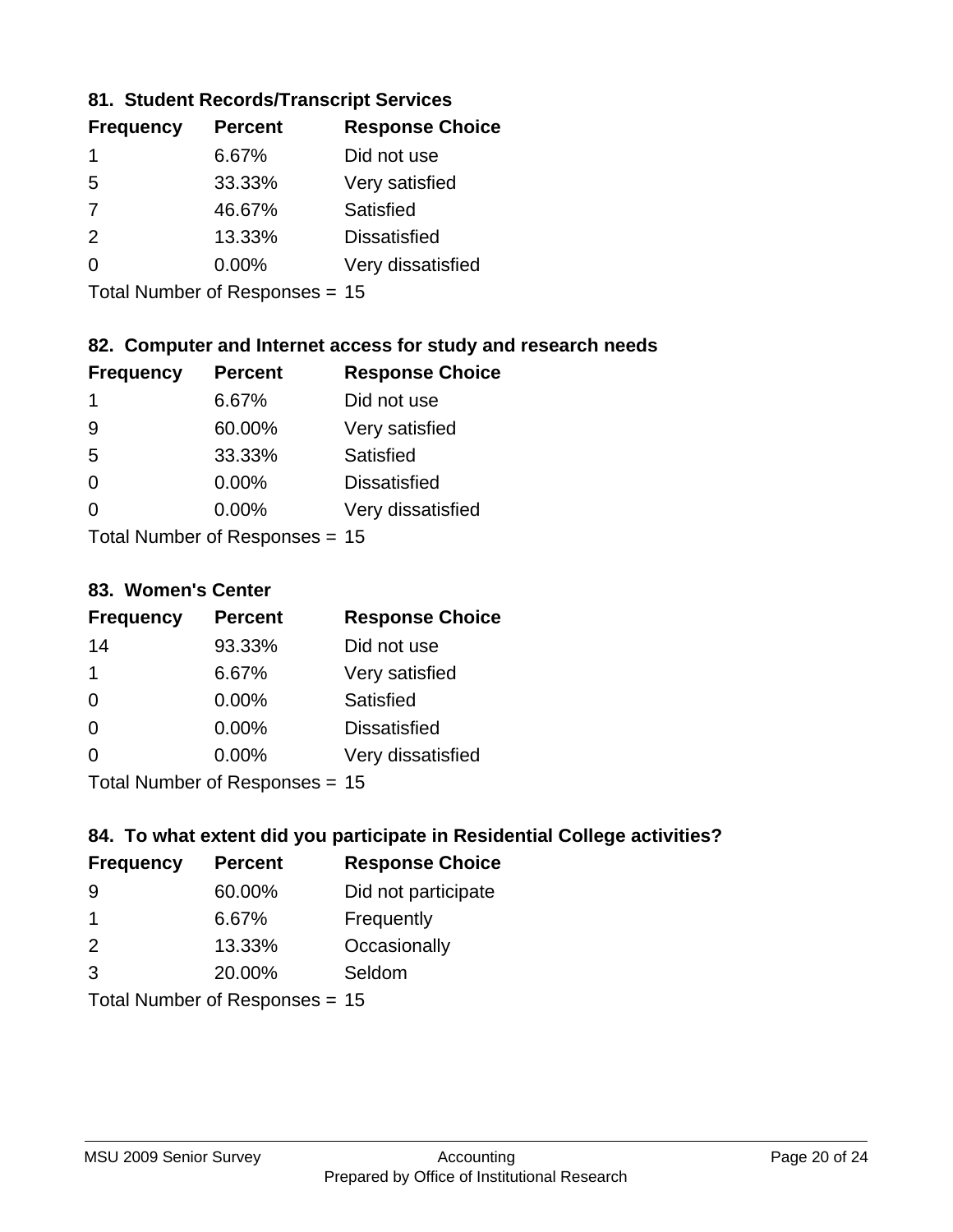## **81. Student Records/Transcript Services**

| <b>Percent</b> | <b>Response Choice</b> |  |
|----------------|------------------------|--|
| 6.67%          | Did not use            |  |
| 33.33%         | Very satisfied         |  |
| 46.67%         | Satisfied              |  |
| 13.33%         | <b>Dissatisfied</b>    |  |
| $0.00\%$       | Very dissatisfied      |  |
|                |                        |  |

Total Number of Responses = 15

## **82. Computer and Internet access for study and research needs**

| <b>Frequency</b>          | <b>Percent</b> | <b>Response Choice</b> |
|---------------------------|----------------|------------------------|
| 1                         | 6.67%          | Did not use            |
| 9                         | 60.00%         | Very satisfied         |
| 5                         | 33.33%         | Satisfied              |
| $\Omega$                  | 0.00%          | <b>Dissatisfied</b>    |
| ∩                         | 0.00%          | Very dissatisfied      |
| Total Number of Deepensee |                |                        |

Total Number of Responses = 15

#### **83. Women's Center**

| <b>Frequency</b>          | <b>Percent</b> | <b>Response Choice</b> |
|---------------------------|----------------|------------------------|
| 14                        | 93.33%         | Did not use            |
| $\mathbf 1$               | 6.67%          | Very satisfied         |
| $\Omega$                  | $0.00\%$       | Satisfied              |
| $\Omega$                  | $0.00\%$       | <b>Dissatisfied</b>    |
| $\Omega$                  | 0.00%          | Very dissatisfied      |
| Total Number of Desponses |                |                        |

Total Number of Responses = 15

## **84. To what extent did you participate in Residential College activities?**

| <b>Frequency</b>          | <b>Percent</b> | <b>Response Choice</b> |
|---------------------------|----------------|------------------------|
| 9                         | 60.00%         | Did not participate    |
|                           | 6.67%          | Frequently             |
| $\mathcal{P}$             | 13.33%         | Occasionally           |
| $\mathcal{R}$             | 20.00%         | Seldom                 |
| Total Number of Despanses |                |                        |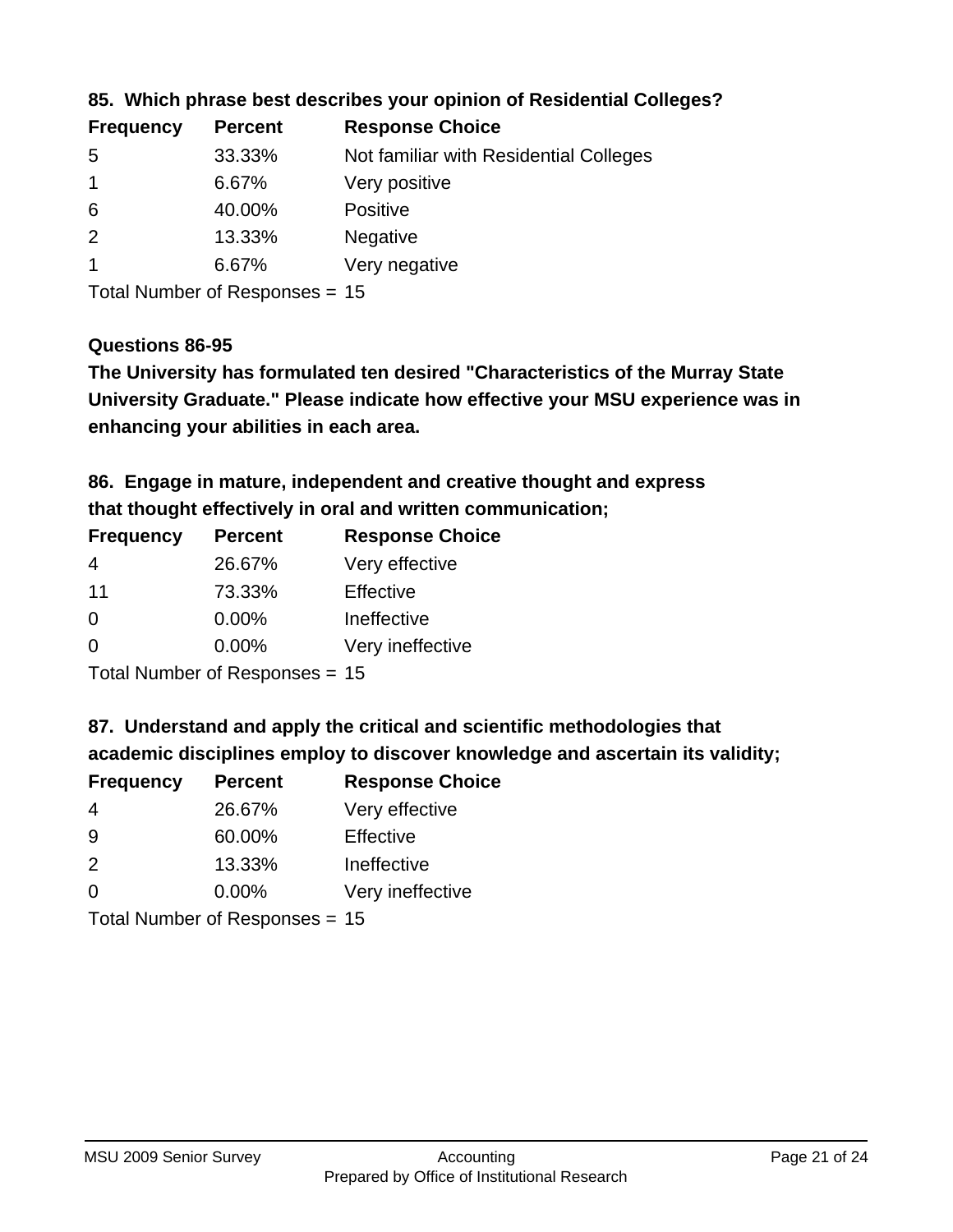| <b>Frequency</b> | <b>Percent</b> | <b>Response Choice</b>                 |
|------------------|----------------|----------------------------------------|
| -5               | 33.33%         | Not familiar with Residential Colleges |
|                  | 6.67%          | Very positive                          |
| -6               | 40.00%         | <b>Positive</b>                        |
| 2                | 13.33%         | <b>Negative</b>                        |
|                  | 6.67%          | Very negative                          |
|                  |                |                                        |

#### **85. Which phrase best describes your opinion of Residential Colleges?**

Total Number of Responses = 15

#### **Questions 86-95**

**University Graduate." Please indicate how effective your MSU experience was in The University has formulated ten desired "Characteristics of the Murray State enhancing your abilities in each area.**

**86. Engage in mature, independent and creative thought and express that thought effectively in oral and written communication;**

| <b>Percent</b> | <b>Response Choice</b> |
|----------------|------------------------|
| 26.67%         | Very effective         |
| 73.33%         | Effective              |
| 0.00%          | Ineffective            |
| $0.00\%$       | Very ineffective       |
|                |                        |

Total Number of Responses = 15

**87. Understand and apply the critical and scientific methodologies that** 

**academic disciplines employ to discover knowledge and ascertain its validity;**

| <b>Frequency</b> | <b>Percent</b> | <b>Response Choice</b> |
|------------------|----------------|------------------------|
| 4                | 26.67%         | Very effective         |
| 9                | 60.00%         | Effective              |
| $\mathcal{P}$    | 13.33%         | Ineffective            |
| $\Omega$         | 0.00%          | Very ineffective       |
|                  |                |                        |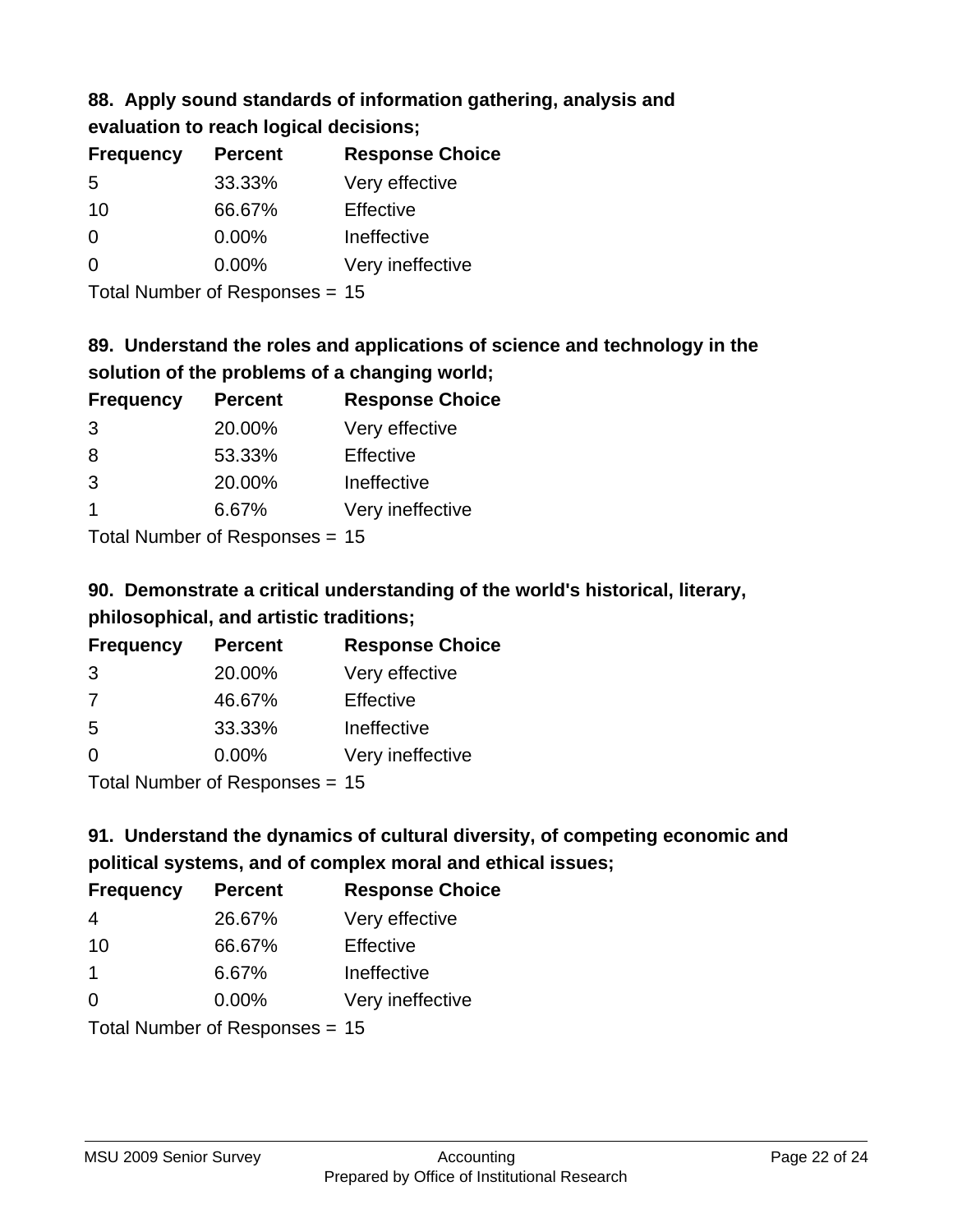## **88. Apply sound standards of information gathering, analysis and evaluation to reach logical decisions;**

| <b>Frequency</b> | <b>Percent</b> | <b>Response Choice</b> |
|------------------|----------------|------------------------|
| 5                | 33.33%         | Very effective         |
| 10               | 66.67%         | Effective              |
| $\Omega$         | $0.00\%$       | Ineffective            |
| $\Omega$         | 0.00%          | Very ineffective       |
|                  |                |                        |

Total Number of Responses = 15

# **89. Understand the roles and applications of science and technology in the solution of the problems of a changing world;**

| <b>Frequency</b> | <b>Percent</b>             | <b>Response Choice</b> |
|------------------|----------------------------|------------------------|
| 3                | 20.00%                     | Very effective         |
| 8                | 53.33%                     | Effective              |
| 3                | 20.00%                     | Ineffective            |
|                  | 6.67%                      | Very ineffective       |
|                  | Tatal Manakan af Dagmanage |                        |

Total Number of Responses = 15

# **90. Demonstrate a critical understanding of the world's historical, literary, philosophical, and artistic traditions;**

| <b>Frequency</b> | <b>Percent</b> | <b>Response Choice</b> |
|------------------|----------------|------------------------|
| 3                | 20.00%         | Very effective         |
| 7                | 46.67%         | Effective              |
| 5                | 33.33%         | Ineffective            |
| $\Omega$         | 0.00%          | Very ineffective       |
|                  |                |                        |

Total Number of Responses = 15

# **91. Understand the dynamics of cultural diversity, of competing economic and political systems, and of complex moral and ethical issues;**

| <b>Frequency</b>     | <b>Percent</b>                 | <b>Response Choice</b> |
|----------------------|--------------------------------|------------------------|
| 4                    | 26.67%                         | Very effective         |
| 10                   | 66.67%                         | Effective              |
| $\blacktriangleleft$ | 6.67%                          | Ineffective            |
| $\Omega$             | $0.00\%$                       | Very ineffective       |
|                      | Total Number of Responses = 15 |                        |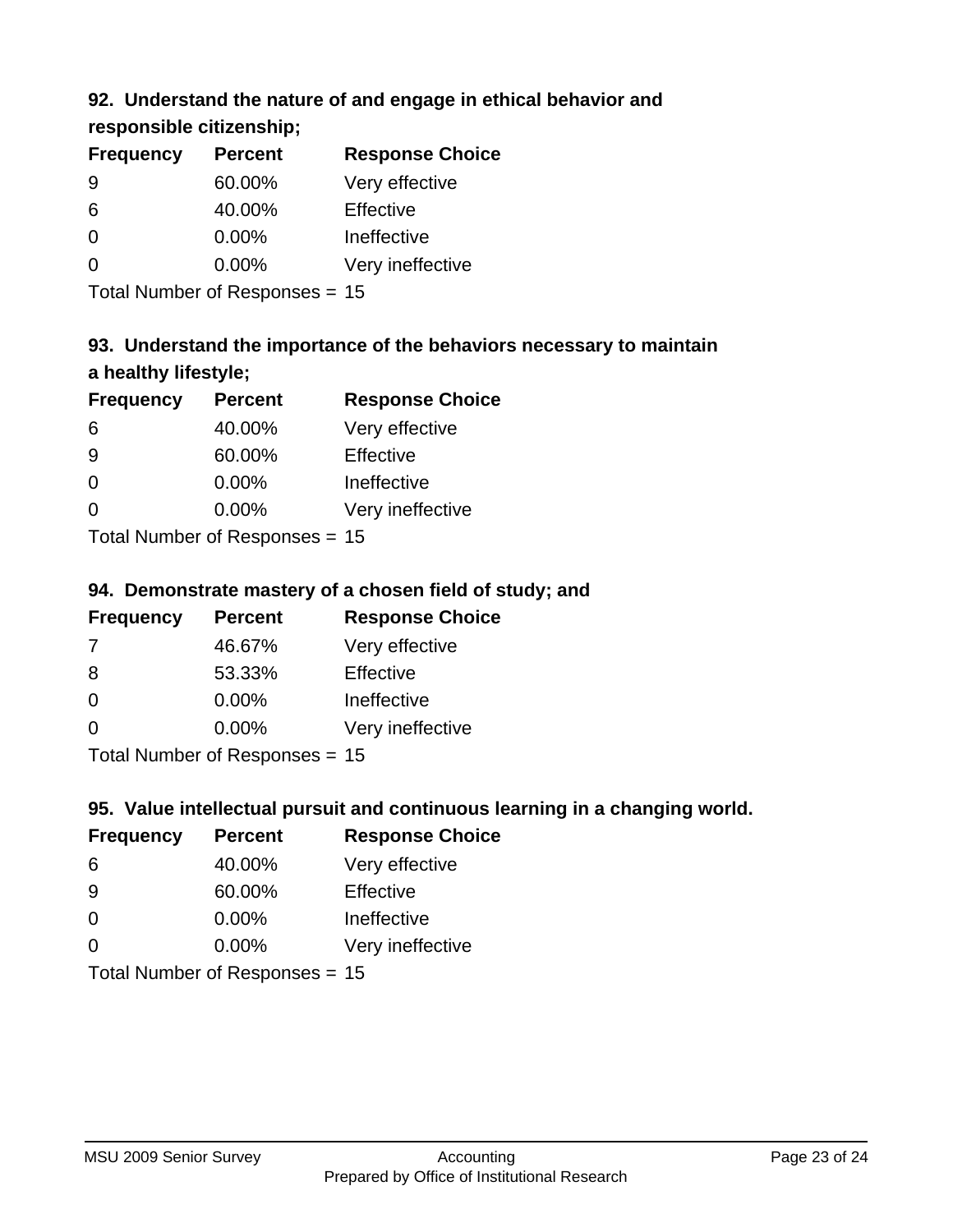## **92. Understand the nature of and engage in ethical behavior and**

## **responsible citizenship;**

| <b>Frequency</b> | <b>Percent</b> | <b>Response Choice</b> |
|------------------|----------------|------------------------|
| 9                | 60.00%         | Very effective         |
| 6                | 40.00%         | Effective              |
| O                | $0.00\%$       | Ineffective            |
| O                | $0.00\%$       | Very ineffective       |
|                  |                |                        |

Total Number of Responses = 15

# **93. Understand the importance of the behaviors necessary to maintain a healthy lifestyle;**

| <b>Frequency</b> | <b>Percent</b> | <b>Response Choice</b> |
|------------------|----------------|------------------------|
| 6                | 40.00%         | Very effective         |
| 9                | 60.00%         | Effective              |
| $\Omega$         | $0.00\%$       | Ineffective            |
| $\Omega$         | 0.00%          | Very ineffective       |
|                  |                |                        |

Total Number of Responses = 15

## **94. Demonstrate mastery of a chosen field of study; and**

| <b>Frequency</b> | <b>Percent</b> | <b>Response Choice</b> |
|------------------|----------------|------------------------|
| 7                | 46.67%         | Very effective         |
| 8                | 53.33%         | Effective              |
| $\Omega$         | 0.00%          | Ineffective            |
| $\Omega$         | 0.00%          | Very ineffective       |
|                  |                |                        |

Total Number of Responses = 15

## **95. Value intellectual pursuit and continuous learning in a changing world.**

| <b>Frequency</b> | <b>Percent</b>            | <b>Response Choice</b> |
|------------------|---------------------------|------------------------|
| 6                | 40.00%                    | Very effective         |
| -9               | 60.00%                    | Effective              |
| $\Omega$         | 0.00%                     | Ineffective            |
| $\Omega$         | 0.00%                     | Very ineffective       |
|                  | Total Number of DoEROR 0. |                        |